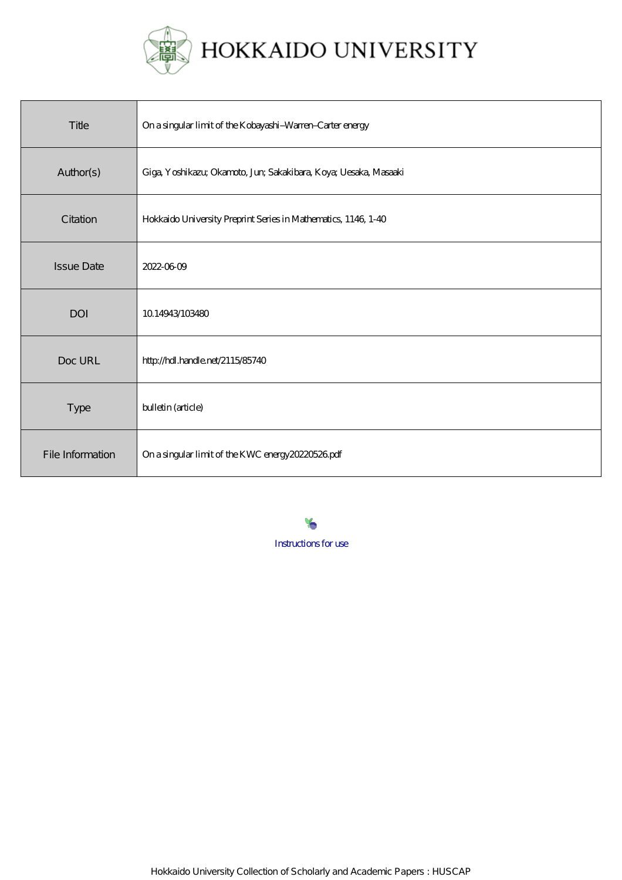

| Title             | On a singular limit of the Kobayashi-Warren-Carter energy        |
|-------------------|------------------------------------------------------------------|
| Author(s)         | Giga, Yoshikazu; Okamoto, Jun; Sakakibara, Koya; Uesaka, Masaaki |
| Citation          | Hokkaido University Preprint Series in Mathematics, 1146, 1-40   |
| <b>Issue Date</b> | 2022-0609                                                        |
| <b>DOI</b>        | 1014943/103480                                                   |
| Doc URL           | http://hdl.handle.net/2115/85740                                 |
| <b>Type</b>       | bulletin (article)                                               |
| File Information  | On a singular limit of the KWC energy 20220526 pdf               |

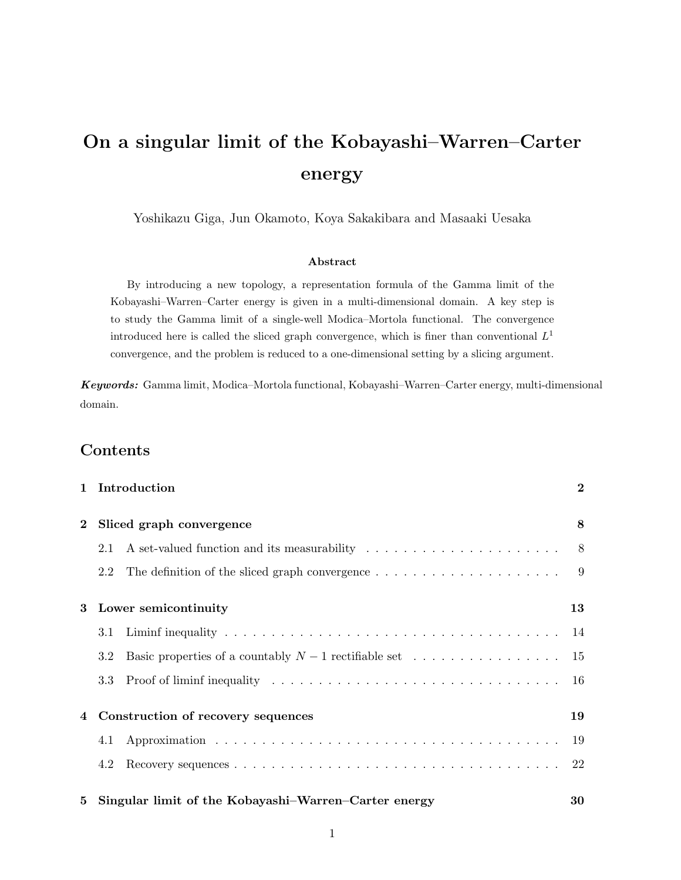# On a singular limit of the Kobayashi–Warren–Carter energy

Yoshikazu Giga, Jun Okamoto, Koya Sakakibara and Masaaki Uesaka

#### Abstract

By introducing a new topology, a representation formula of the Gamma limit of the Kobayashi–Warren–Carter energy is given in a multi-dimensional domain. A key step is to study the Gamma limit of a single-well Modica–Mortola functional. The convergence introduced here is called the sliced graph convergence, which is finer than conventional  $L^1$ convergence, and the problem is reduced to a one-dimensional setting by a slicing argument.

Keywords: Gamma limit, Modica–Mortola functional, Kobayashi–Warren–Carter energy, multi-dimensional domain.

# Contents

|                | Introduction<br>$\mathbf{1}$                                        |  | $\bf{2}$       |
|----------------|---------------------------------------------------------------------|--|----------------|
| $\bf{2}$       | Sliced graph convergence                                            |  |                |
|                | 2.1                                                                 |  |                |
|                | 2.2                                                                 |  | $\overline{9}$ |
| 3              | Lower semicontinuity                                                |  | 13             |
|                | 3.1                                                                 |  | 14             |
|                | 3.2                                                                 |  |                |
|                | 3.3                                                                 |  | -16            |
| $\overline{4}$ | Construction of recovery sequences                                  |  | 19             |
|                | 4.1                                                                 |  | 19             |
|                | 4.2                                                                 |  | 22             |
|                | Singular limit of the Kobayashi–Warren–Carter energy<br>$5^{\circ}$ |  | 30             |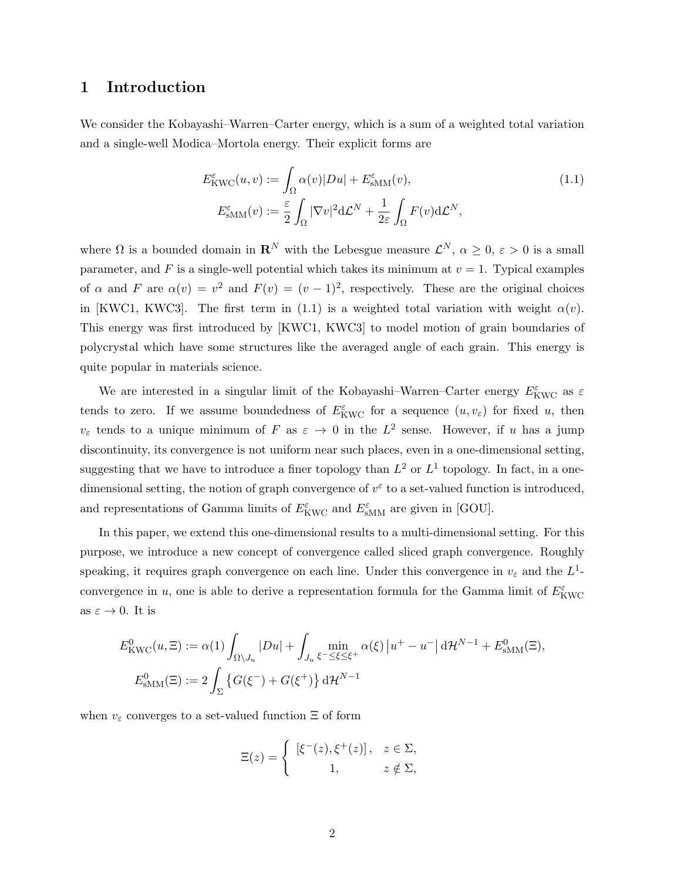## 1 Introduction

We consider the Kobayashi–Warren–Carter energy, which is a sum of a weighted total variation and a single-well Modica–Mortola energy. Their explicit forms are

$$
E_{\text{KWC}}^{\varepsilon}(u,v) := \int_{\Omega} \alpha(v)|Du| + E_{\text{sMM}}^{\varepsilon}(v),
$$
  
\n
$$
E_{\text{sMM}}^{\varepsilon}(v) := \frac{\varepsilon}{2} \int_{\Omega} |\nabla v|^2 d\mathcal{L}^N + \frac{1}{2\varepsilon} \int_{\Omega} F(v) d\mathcal{L}^N,
$$
\n(1.1)

where  $\Omega$  is a bounded domain in  $\mathbf{R}^N$  with the Lebesgue measure  $\mathcal{L}^N$ ,  $\alpha \geq 0$ ,  $\varepsilon > 0$  is a small parameter, and F is a single-well potential which takes its minimum at  $v = 1$ . Typical examples of  $\alpha$  and  $F$  are  $\alpha(v) = v^2$  and  $F(v) = (v - 1)^2$ , respectively. These are the original choices in [KWC1, KWC3]. The first term in (1.1) is a weighted total variation with weight  $\alpha(v)$ . This energy was first introduced by [KWC1, KWC3] to model motion of grain boundaries of polycrystal which have some structures like the averaged angle of each grain. This energy is quite popular in materials science.

We are interested in a singular limit of the Kobayashi–Warren–Carter energy  $E_{\text{KWC}}^{\varepsilon}$  as  $\varepsilon$ tends to zero. If we assume boundedness of  $E_{\text{KWC}}^{\varepsilon}$  for a sequence  $(u, v_{\varepsilon})$  for fixed u, then  $v_{\varepsilon}$  tends to a unique minimum of F as  $\varepsilon \to 0$  in the  $L^2$  sense. However, if u has a jump discontinuity, its convergence is not uniform near such places, even in a one-dimensional setting, suggesting that we have to introduce a finer topology than  $L^2$  or  $L^1$  topology. In fact, in a onedimensional setting, the notion of graph convergence of  $v^{\varepsilon}$  to a set-valued function is introduced, and representations of Gamma limits of  $E^{\varepsilon}_{\text{KWC}}$  and  $E^{\varepsilon}_{\text{sMM}}$  are given in [GOU].

In this paper, we extend this one-dimensional results to a multi-dimensional setting. For this purpose, we introduce a new concept of convergence called sliced graph convergence. Roughly speaking, it requires graph convergence on each line. Under this convergence in  $v_{\varepsilon}$  and the  $L^{1}$ convergence in u, one is able to derive a representation formula for the Gamma limit of  $E^{\varepsilon}_{\text{KWC}}$ as  $\varepsilon \to 0$ . It is

$$
E_{\text{KWC}}^{0}(u,\Xi) := \alpha(1) \int_{\Omega \setminus J_u} |Du| + \int_{J_u} \min_{\xi^- \le \xi \le \xi^+} \alpha(\xi) |u^+ - u^-| \, d\mathcal{H}^{N-1} + E_{\text{SMM}}^{0}(\Xi),
$$
  

$$
E_{\text{SMM}}^{0}(\Xi) := 2 \int_{\Sigma} \left\{ G(\xi^-) + G(\xi^+) \right\} d\mathcal{H}^{N-1}
$$

when  $v_{\varepsilon}$  converges to a set-valued function  $\Xi$  of form

$$
\Xi(z) = \begin{cases} [\xi^-(z), \xi^+(z)], & z \in \Sigma, \\ 1, & z \notin \Sigma, \end{cases}
$$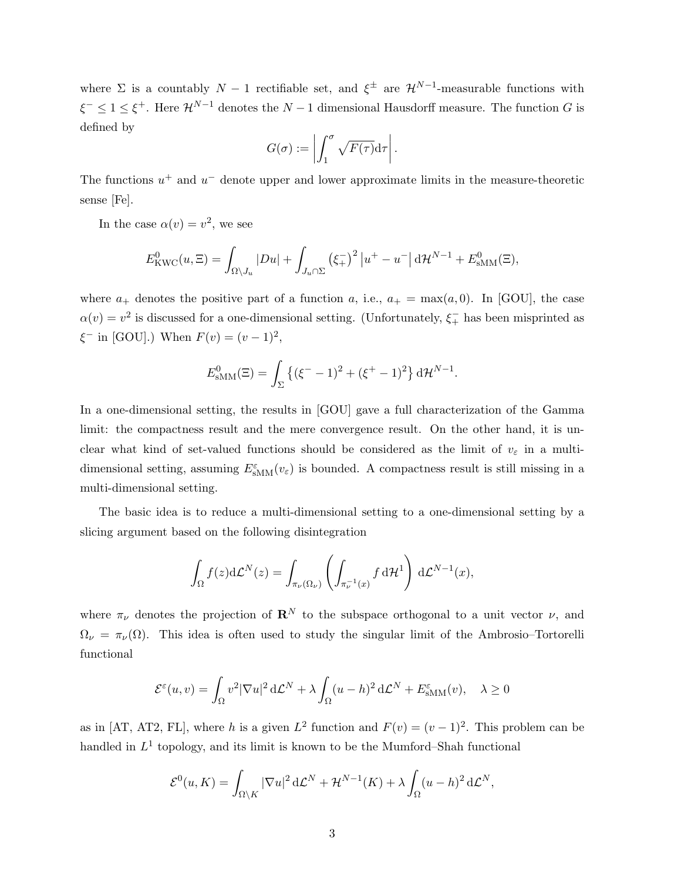where  $\Sigma$  is a countably  $N-1$  rectifiable set, and  $\xi^{\pm}$  are  $\mathcal{H}^{N-1}$ -measurable functions with  $\xi^- \leq 1 \leq \xi^+$ . Here  $\mathcal{H}^{N-1}$  denotes the  $N-1$  dimensional Hausdorff measure. The function G is defined by

$$
G(\sigma) := \left| \int_1^{\sigma} \sqrt{F(\tau)} \mathrm{d}\tau \right|.
$$

The functions  $u^+$  and  $u^-$  denote upper and lower approximate limits in the measure-theoretic sense [Fe].

In the case  $\alpha(v) = v^2$ , we see

$$
E_{\text{KWC}}^0(u,\Xi) = \int_{\Omega \setminus J_u} |Du| + \int_{J_u \cap \Sigma} (\xi_+^{\perp})^2 |u^+ - u^-| \, d\mathcal{H}^{N-1} + E_{\text{sMM}}^0(\Xi),
$$

where  $a_+$  denotes the positive part of a function a, i.e.,  $a_+ = \max(a, 0)$ . In [GOU], the case  $\alpha(v) = v^2$  is discussed for a one-dimensional setting. (Unfortunately,  $\xi_{+}^{-}$  has been misprinted as  $\xi^-$  in [GOU].) When  $F(v) = (v - 1)^2$ ,

$$
E_{\text{sMM}}^0(\Xi) = \int_{\Sigma} \left\{ (\xi^- - 1)^2 + (\xi^+ - 1)^2 \right\} d\mathcal{H}^{N-1}.
$$

In a one-dimensional setting, the results in [GOU] gave a full characterization of the Gamma limit: the compactness result and the mere convergence result. On the other hand, it is unclear what kind of set-valued functions should be considered as the limit of  $v_{\varepsilon}$  in a multidimensional setting, assuming  $E_{\text{sMM}}^{\varepsilon}(v_{\varepsilon})$  is bounded. A compactness result is still missing in a multi-dimensional setting.

The basic idea is to reduce a multi-dimensional setting to a one-dimensional setting by a slicing argument based on the following disintegration

$$
\int_{\Omega} f(z) d\mathcal{L}^N(z) = \int_{\pi_{\nu}(\Omega_{\nu})} \left( \int_{\pi_{\nu}^{-1}(x)} f d\mathcal{H}^1 \right) d\mathcal{L}^{N-1}(x),
$$

where  $\pi_{\nu}$  denotes the projection of  $\mathbf{R}^{N}$  to the subspace orthogonal to a unit vector  $\nu$ , and  $\Omega_{\nu} = \pi_{\nu}(\Omega)$ . This idea is often used to study the singular limit of the Ambrosio–Tortorelli functional

$$
\mathcal{E}^{\varepsilon}(u,v) = \int_{\Omega} v^2 |\nabla u|^2 d\mathcal{L}^N + \lambda \int_{\Omega} (u-h)^2 d\mathcal{L}^N + E_{\text{sMM}}^{\varepsilon}(v), \quad \lambda \ge 0
$$

as in [AT, AT2, FL], where h is a given  $L^2$  function and  $F(v) = (v - 1)^2$ . This problem can be handled in  $L^1$  topology, and its limit is known to be the Mumford–Shah functional

$$
\mathcal{E}^0(u,K) = \int_{\Omega \setminus K} |\nabla u|^2 d\mathcal{L}^N + \mathcal{H}^{N-1}(K) + \lambda \int_{\Omega} (u-h)^2 d\mathcal{L}^N,
$$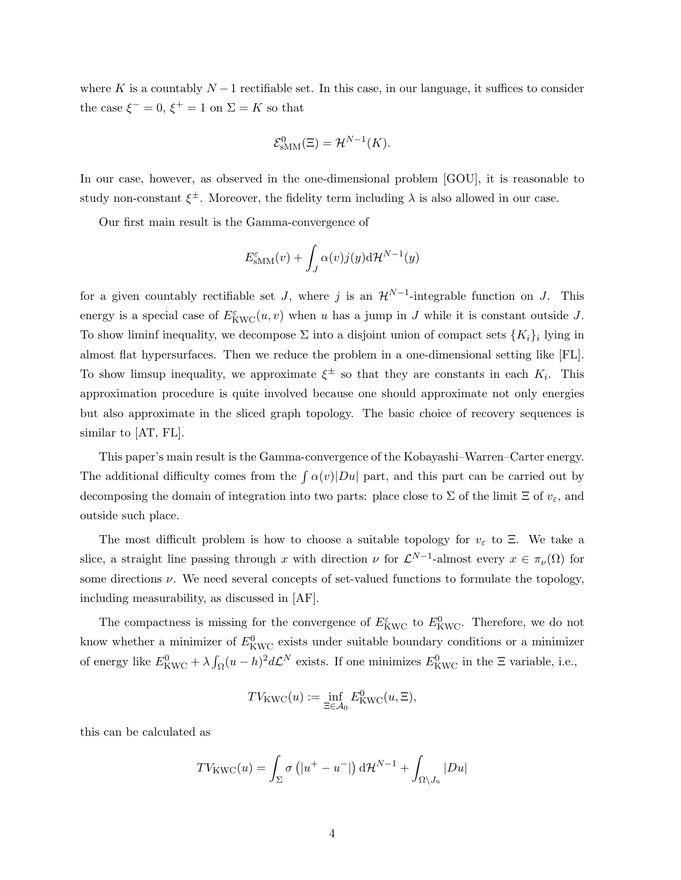where K is a countably  $N-1$  rectifiable set. In this case, in our language, it suffices to consider the case  $\xi^- = 0$ ,  $\xi^+ = 1$  on  $\Sigma = K$  so that

$$
\mathcal{E}_{\text{sMM}}^0(\Xi) = \mathcal{H}^{N-1}(K).
$$

In our case, however, as observed in the one-dimensional problem [GOU], it is reasonable to study non-constant  $\xi^{\pm}$ . Moreover, the fidelity term including  $\lambda$  is also allowed in our case.

Our first main result is the Gamma-convergence of

$$
E_{\text{sMM}}^{\varepsilon}(v) + \int_{J} \alpha(v) j(y) \mathrm{d} \mathcal{H}^{N-1}(y)
$$

for a given countably rectifiable set  $J$ , where  $j$  is an  $\mathcal{H}^{N-1}$ -integrable function on  $J$ . This energy is a special case of  $E^{\varepsilon}_{\text{KWC}}(u, v)$  when u has a jump in J while it is constant outside J. To show liminf inequality, we decompose  $\Sigma$  into a disjoint union of compact sets  $\{K_i\}_i$  lying in almost flat hypersurfaces. Then we reduce the problem in a one-dimensional setting like [FL]. To show limsup inequality, we approximate  $\xi^{\pm}$  so that they are constants in each  $K_i$ . This approximation procedure is quite involved because one should approximate not only energies but also approximate in the sliced graph topology. The basic choice of recovery sequences is similar to [AT, FL].

This paper's main result is the Gamma-convergence of the Kobayashi–Warren–Carter energy. The additional difficulty comes from the  $\int \alpha(v)|Du|$  part, and this part can be carried out by decomposing the domain of integration into two parts: place close to  $\Sigma$  of the limit  $\Xi$  of  $v_{\varepsilon}$ , and outside such place.

The most difficult problem is how to choose a suitable topology for  $v_{\varepsilon}$  to Ξ. We take a slice, a straight line passing through x with direction  $\nu$  for  $\mathcal{L}^{N-1}$ -almost every  $x \in \pi_{\nu}(\Omega)$  for some directions  $\nu$ . We need several concepts of set-valued functions to formulate the topology, including measurability, as discussed in [AF].

The compactness is missing for the convergence of  $E^{\varepsilon}_{\text{KWC}}$  to  $E^0_{\text{KWC}}$ . Therefore, we do not know whether a minimizer of  $E^0_{\rm KWC}$  exists under suitable boundary conditions or a minimizer of energy like  $E_{\text{KWC}}^0 + \lambda \int_{\Omega} (u - h)^2 d\mathcal{L}^N$  exists. If one minimizes  $E_{\text{KWC}}^0$  in the  $\Xi$  variable, i.e.,

$$
TV_{\text{KWC}}(u) := \inf_{\Xi \in \mathcal{A}_0} E^0_{\text{KWC}}(u, \Xi),
$$

this can be calculated as

$$
TV_{\text{KWC}}(u) = \int_{\Sigma} \sigma\left(|u^{+} - u^{-}|\right) d\mathcal{H}^{N-1} + \int_{\Omega \setminus J_u} |Du|
$$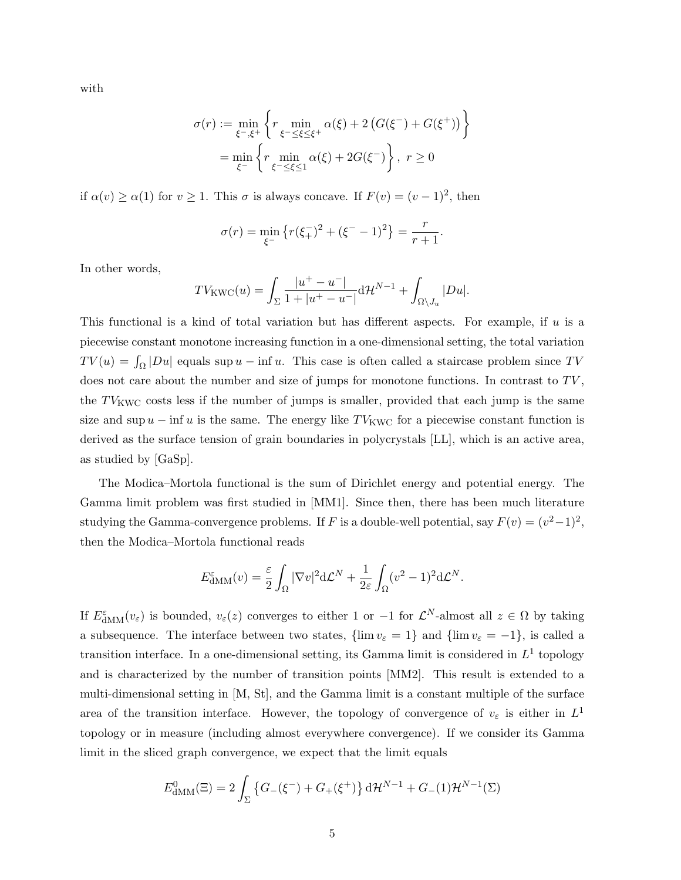with

$$
\sigma(r) := \min_{\xi^-,\xi^+} \left\{ r \min_{\xi^- \le \xi \le \xi^+} \alpha(\xi) + 2 \left( G(\xi^-) + G(\xi^+) \right) \right\}
$$

$$
= \min_{\xi^-} \left\{ r \min_{\xi^- \le \xi \le 1} \alpha(\xi) + 2G(\xi^-) \right\}, \ r \ge 0
$$

if  $\alpha(v) \ge \alpha(1)$  for  $v \ge 1$ . This  $\sigma$  is always concave. If  $F(v) = (v - 1)^2$ , then

$$
\sigma(r) = \min_{\xi^-} \left\{ r(\xi_+^r)^2 + (\xi^- - 1)^2 \right\} = \frac{r}{r+1}.
$$

In other words,

$$
TV_{\text{KWC}}(u) = \int_{\Sigma} \frac{|u^+ - u^-|}{1 + |u^+ - u^-|} d\mathcal{H}^{N-1} + \int_{\Omega \setminus J_u} |Du|.
$$

This functional is a kind of total variation but has different aspects. For example, if  $u$  is a piecewise constant monotone increasing function in a one-dimensional setting, the total variation  $TV(u) = \int_{\Omega} |Du|$  equals sup  $u - \inf u$ . This case is often called a staircase problem since TV does not care about the number and size of jumps for monotone functions. In contrast to  $TV$ , the  $TV_{KWC}$  costs less if the number of jumps is smaller, provided that each jump is the same size and sup  $u - \inf u$  is the same. The energy like TV<sub>KWC</sub> for a piecewise constant function is derived as the surface tension of grain boundaries in polycrystals [LL], which is an active area, as studied by [GaSp].

The Modica–Mortola functional is the sum of Dirichlet energy and potential energy. The Gamma limit problem was first studied in [MM1]. Since then, there has been much literature studying the Gamma-convergence problems. If F is a double-well potential, say  $F(v) = (v^2 - 1)^2$ , then the Modica–Mortola functional reads

$$
E_{\text{dMM}}^{\varepsilon}(v) = \frac{\varepsilon}{2} \int_{\Omega} |\nabla v|^2 d\mathcal{L}^N + \frac{1}{2\varepsilon} \int_{\Omega} (v^2 - 1)^2 d\mathcal{L}^N.
$$

If  $E_{\text{dMM}}^{\varepsilon}(v_{\varepsilon})$  is bounded,  $v_{\varepsilon}(z)$  converges to either 1 or -1 for  $\mathcal{L}^{N}$ -almost all  $z \in \Omega$  by taking a subsequence. The interface between two states,  $\{\lim v_{\varepsilon} = 1\}$  and  $\{\lim v_{\varepsilon} = -1\}$ , is called a transition interface. In a one-dimensional setting, its Gamma limit is considered in  $L^1$  topology and is characterized by the number of transition points [MM2]. This result is extended to a multi-dimensional setting in [M, St], and the Gamma limit is a constant multiple of the surface area of the transition interface. However, the topology of convergence of  $v_{\varepsilon}$  is either in  $L^1$ topology or in measure (including almost everywhere convergence). If we consider its Gamma limit in the sliced graph convergence, we expect that the limit equals

$$
E_{\text{dMM}}^{0}(\Xi) = 2 \int_{\Sigma} \left\{ G_{-}(\xi^{-}) + G_{+}(\xi^{+}) \right\} \mathrm{d} \mathcal{H}^{N-1} + G_{-}(1) \mathcal{H}^{N-1}(\Sigma)
$$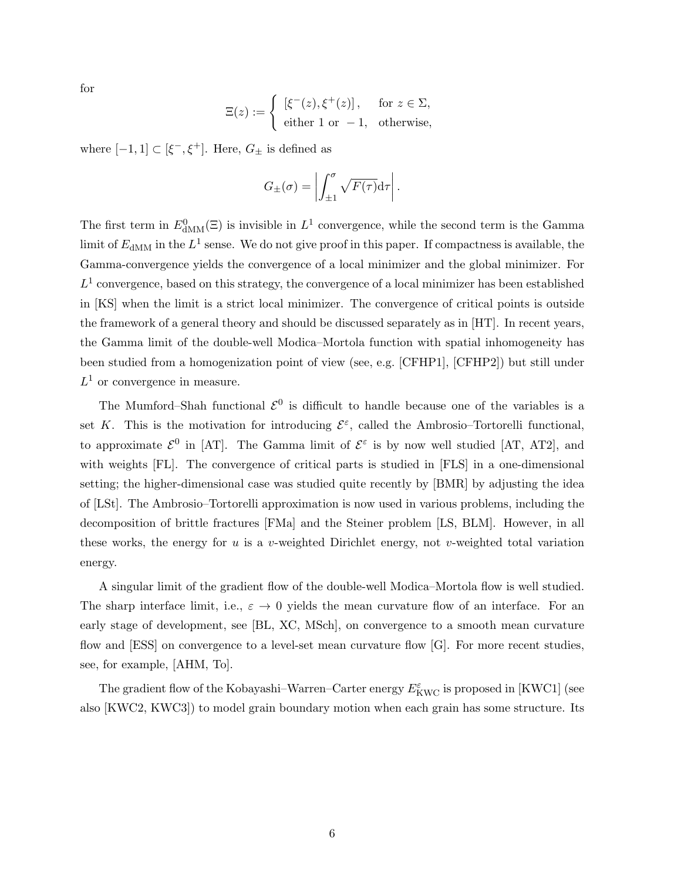for

$$
\Xi(z) := \begin{cases} [\xi^-(z), \xi^+(z)], & \text{for } z \in \Sigma, \\ \text{either 1 or } -1, & \text{otherwise,} \end{cases}
$$

where  $[-1, 1] \subset [\xi^-,\xi^+]$ . Here,  $G_{\pm}$  is defined as

$$
G_{\pm}(\sigma) = \left| \int_{\pm 1}^{\sigma} \sqrt{F(\tau)} \mathrm{d}\tau \right|.
$$

The first term in  $E_{\text{dMM}}^0(\Xi)$  is invisible in  $L^1$  convergence, while the second term is the Gamma limit of  $E_{\text{dMM}}$  in the  $L^1$  sense. We do not give proof in this paper. If compactness is available, the Gamma-convergence yields the convergence of a local minimizer and the global minimizer. For  $L<sup>1</sup>$  convergence, based on this strategy, the convergence of a local minimizer has been established in [KS] when the limit is a strict local minimizer. The convergence of critical points is outside the framework of a general theory and should be discussed separately as in [HT]. In recent years, the Gamma limit of the double-well Modica–Mortola function with spatial inhomogeneity has been studied from a homogenization point of view (see, e.g. [CFHP1], [CFHP2]) but still under  $L^1$  or convergence in measure.

The Mumford–Shah functional  $\mathcal{E}^0$  is difficult to handle because one of the variables is a set K. This is the motivation for introducing  $\mathcal{E}^{\varepsilon}$ , called the Ambrosio–Tortorelli functional, to approximate  $\mathcal{E}^0$  in [AT]. The Gamma limit of  $\mathcal{E}^{\varepsilon}$  is by now well studied [AT, AT2], and with weights [FL]. The convergence of critical parts is studied in [FLS] in a one-dimensional setting; the higher-dimensional case was studied quite recently by [BMR] by adjusting the idea of [LSt]. The Ambrosio–Tortorelli approximation is now used in various problems, including the decomposition of brittle fractures [FMa] and the Steiner problem [LS, BLM]. However, in all these works, the energy for u is a v-weighted Dirichlet energy, not v-weighted total variation energy.

A singular limit of the gradient flow of the double-well Modica–Mortola flow is well studied. The sharp interface limit, i.e.,  $\varepsilon \to 0$  yields the mean curvature flow of an interface. For an early stage of development, see [BL, XC, MSch], on convergence to a smooth mean curvature flow and [ESS] on convergence to a level-set mean curvature flow [G]. For more recent studies, see, for example, [AHM, To].

The gradient flow of the Kobayashi–Warren–Carter energy  $E^{\varepsilon}_{\rm KWC}$  is proposed in [KWC1] (see also [KWC2, KWC3]) to model grain boundary motion when each grain has some structure. Its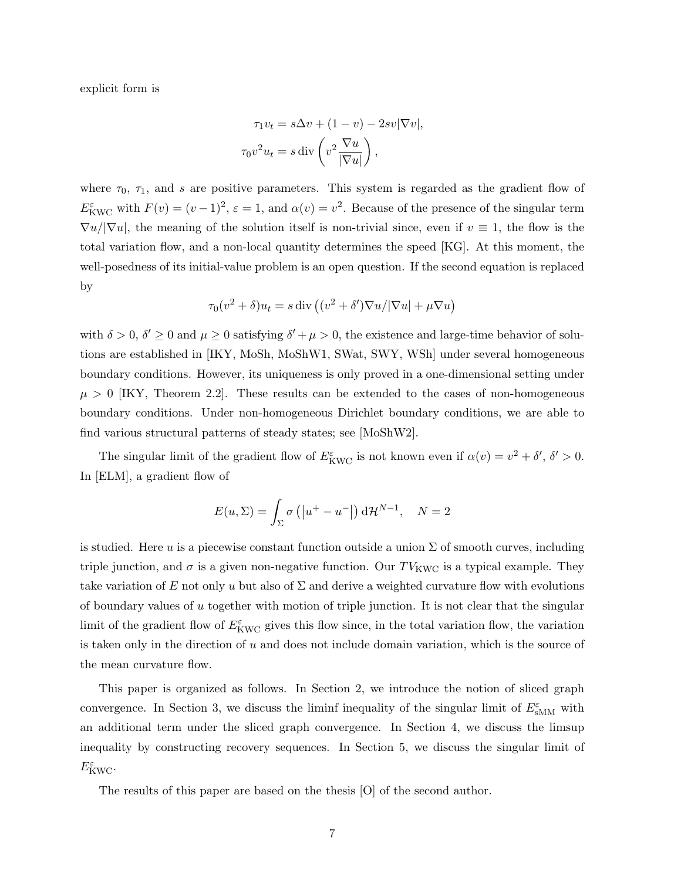explicit form is

$$
\tau_1 v_t = s \Delta v + (1 - v) - 2sv |\nabla v|,
$$

$$
\tau_0 v^2 u_t = s \operatorname{div} \left( v^2 \frac{\nabla u}{|\nabla u|} \right),
$$

where  $\tau_0$ ,  $\tau_1$ , and s are positive parameters. This system is regarded as the gradient flow of  $E_{\text{KWC}}^{\varepsilon}$  with  $F(v) = (v-1)^2$ ,  $\varepsilon = 1$ , and  $\alpha(v) = v^2$ . Because of the presence of the singular term  $\nabla u/|\nabla u|$ , the meaning of the solution itself is non-trivial since, even if  $v \equiv 1$ , the flow is the total variation flow, and a non-local quantity determines the speed [KG]. At this moment, the well-posedness of its initial-value problem is an open question. If the second equation is replaced by

$$
\tau_0(v^2 + \delta)u_t = s \operatorname{div} \left( (v^2 + \delta')\nabla u / |\nabla u| + \mu \nabla u \right)
$$

with  $\delta > 0$ ,  $\delta' \ge 0$  and  $\mu \ge 0$  satisfying  $\delta' + \mu > 0$ , the existence and large-time behavior of solutions are established in [IKY, MoSh, MoShW1, SWat, SWY, WSh] under several homogeneous boundary conditions. However, its uniqueness is only proved in a one-dimensional setting under  $\mu > 0$  [IKY, Theorem 2.2]. These results can be extended to the cases of non-homogeneous boundary conditions. Under non-homogeneous Dirichlet boundary conditions, we are able to find various structural patterns of steady states; see [MoShW2].

The singular limit of the gradient flow of  $E_{\text{KWC}}^{\varepsilon}$  is not known even if  $\alpha(v) = v^2 + \delta', \delta' > 0$ . In [ELM], a gradient flow of

$$
E(u, \Sigma) = \int_{\Sigma} \sigma\left(|u^{+} - u^{-}|\right) d\mathcal{H}^{N-1}, \quad N = 2
$$

is studied. Here u is a piecewise constant function outside a union  $\Sigma$  of smooth curves, including triple junction, and  $\sigma$  is a given non-negative function. Our  $TV_{KWC}$  is a typical example. They take variation of E not only u but also of  $\Sigma$  and derive a weighted curvature flow with evolutions of boundary values of  $u$  together with motion of triple junction. It is not clear that the singular limit of the gradient flow of  $E_{\text{KWC}}^{\varepsilon}$  gives this flow since, in the total variation flow, the variation is taken only in the direction of  $u$  and does not include domain variation, which is the source of the mean curvature flow.

This paper is organized as follows. In Section 2, we introduce the notion of sliced graph convergence. In Section 3, we discuss the liminf inequality of the singular limit of  $E_{\text{SMM}}^{\varepsilon}$  with an additional term under the sliced graph convergence. In Section 4, we discuss the limsup inequality by constructing recovery sequences. In Section 5, we discuss the singular limit of  $E^{\varepsilon}_{\rm KWC}.$ 

The results of this paper are based on the thesis [O] of the second author.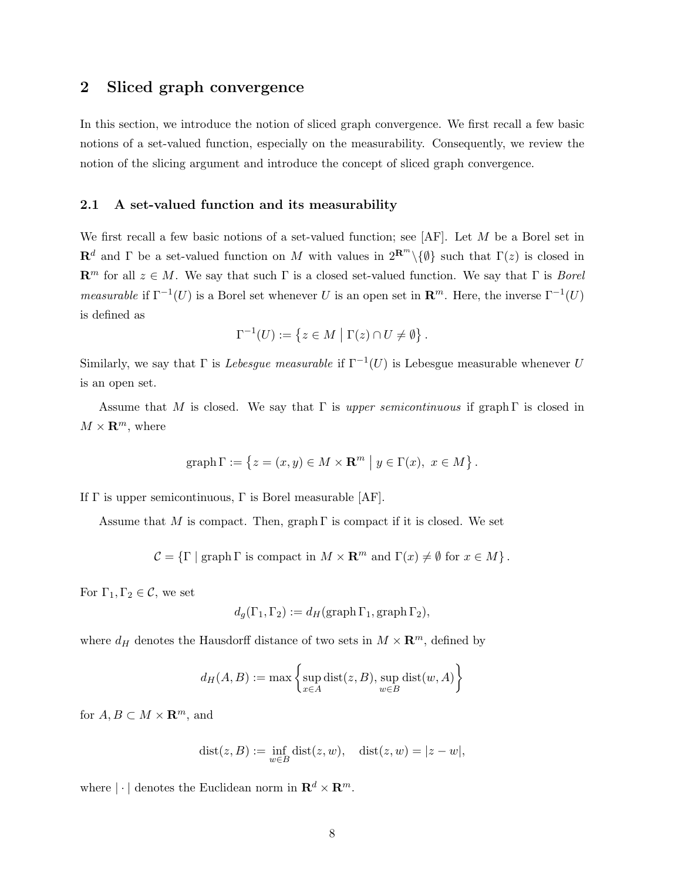## 2 Sliced graph convergence

In this section, we introduce the notion of sliced graph convergence. We first recall a few basic notions of a set-valued function, especially on the measurability. Consequently, we review the notion of the slicing argument and introduce the concept of sliced graph convergence.

#### 2.1 A set-valued function and its measurability

We first recall a few basic notions of a set-valued function; see  $[AF]$ . Let M be a Borel set in  $\mathbf{R}^d$  and  $\Gamma$  be a set-valued function on M with values in  $2^{\mathbf{R}^m}\setminus\{\emptyset\}$  such that  $\Gamma(z)$  is closed in  $\mathbb{R}^m$  for all  $z \in M$ . We say that such  $\Gamma$  is a closed set-valued function. We say that  $\Gamma$  is *Borel* measurable if  $\Gamma^{-1}(U)$  is a Borel set whenever U is an open set in  $\mathbb{R}^m$ . Here, the inverse  $\Gamma^{-1}(U)$ is defined as

$$
\Gamma^{-1}(U) := \left\{ z \in M \mid \Gamma(z) \cap U \neq \emptyset \right\}.
$$

Similarly, we say that  $\Gamma$  is *Lebesgue measurable* if  $\Gamma^{-1}(U)$  is Lebesgue measurable whenever U is an open set.

Assume that M is closed. We say that  $\Gamma$  is upper semicontinuous if graph  $\Gamma$  is closed in  $M \times \mathbf{R}^m$ , where

$$
\text{graph }\Gamma := \left\{ z = (x, y) \in M \times \mathbf{R}^m \mid y \in \Gamma(x), \ x \in M \right\}.
$$

If  $\Gamma$  is upper semicontinuous,  $\Gamma$  is Borel measurable [AF].

Assume that M is compact. Then, graph  $\Gamma$  is compact if it is closed. We set

 $C = {\Gamma \mid \text{graph } \Gamma \text{ is compact in } M \times \mathbf{R}^m \text{ and } \Gamma(x) \neq \emptyset \text{ for } x \in M}.$ 

For  $\Gamma_1, \Gamma_2 \in \mathcal{C}$ , we set

$$
d_g(\Gamma_1, \Gamma_2) := d_H(\operatorname{graph} \Gamma_1, \operatorname{graph} \Gamma_2),
$$

where  $d_H$  denotes the Hausdorff distance of two sets in  $M \times \mathbb{R}^m$ , defined by

$$
d_H(A, B) := \max \left\{ \sup_{x \in A} \text{dist}(z, B), \sup_{w \in B} \text{dist}(w, A) \right\}
$$

for  $A, B \subset M \times \mathbf{R}^m$ , and

$$
dist(z, B) := \inf_{w \in B} dist(z, w), \quad dist(z, w) = |z - w|,
$$

where  $|\cdot|$  denotes the Euclidean norm in  $\mathbb{R}^d \times \mathbb{R}^m$ .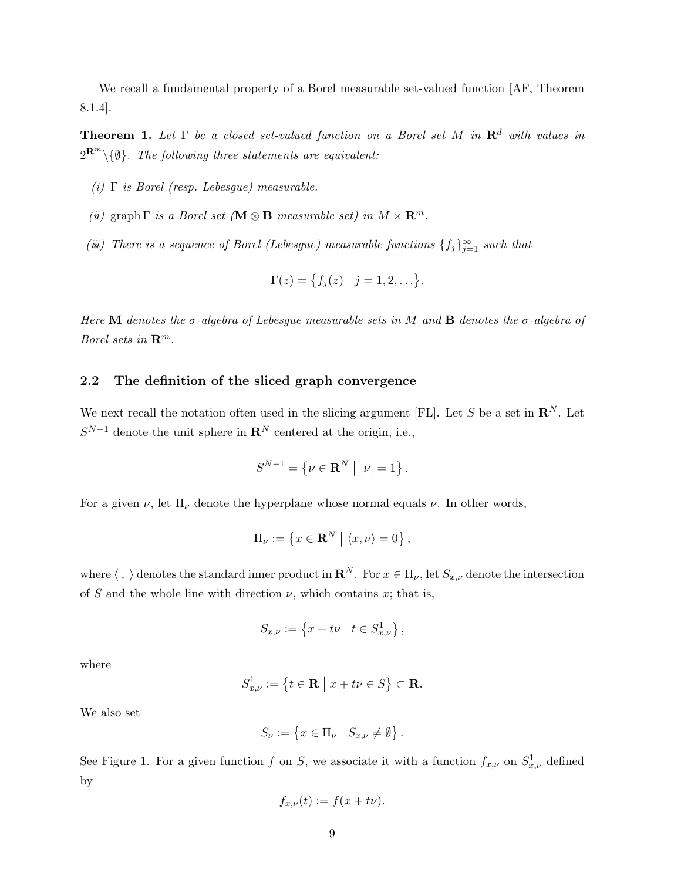We recall a fundamental property of a Borel measurable set-valued function [AF, Theorem 8.1.4].

**Theorem 1.** Let  $\Gamma$  be a closed set-valued function on a Borel set M in  $\mathbb{R}^d$  with values in  $2^{\mathbf{R}^m}\backslash\{\emptyset\}$ . The following three statements are equivalent:

- (i)  $\Gamma$  is Borel (resp. Lebesque) measurable.
- (*ü*) graph  $\Gamma$  *is a Borel set* ( $\mathbf{M} \otimes \mathbf{B}$  measurable set) in  $M \times \mathbf{R}^m$ .
- (iii) There is a sequence of Borel (Lebesgue) measurable functions  $\{f_j\}_{j=1}^{\infty}$  such that

$$
\Gamma(z) = \overline{\{f_j(z) \mid j = 1, 2, \ldots\}}.
$$

Here M denotes the  $\sigma$ -algebra of Lebesgue measurable sets in M and **B** denotes the  $\sigma$ -algebra of Borel sets in  $\mathbb{R}^m$ .

#### 2.2 The definition of the sliced graph convergence

We next recall the notation often used in the slicing argument [FL]. Let S be a set in  $\mathbb{R}^N$ . Let  $S^{N-1}$  denote the unit sphere in  $\mathbf{R}^N$  centered at the origin, i.e.,

$$
S^{N-1} = \{ \nu \in \mathbf{R}^N \mid |\nu| = 1 \}.
$$

For a given  $\nu$ , let  $\Pi_{\nu}$  denote the hyperplane whose normal equals  $\nu$ . In other words,

$$
\Pi_{\nu} := \left\{ x \in \mathbf{R}^N \mid \langle x, \nu \rangle = 0 \right\},\
$$

where  $\langle , \rangle$  denotes the standard inner product in  $\mathbb{R}^N$ . For  $x \in \Pi_{\nu}$ , let  $S_{x,\nu}$  denote the intersection of S and the whole line with direction  $\nu$ , which contains x; that is,

$$
S_{x,\nu} := \{ x + t\nu \mid t \in S_{x,\nu}^1 \},\
$$

where

$$
S_{x,\nu}^1 := \left\{ t \in \mathbf{R} \mid x + t\nu \in S \right\} \subset \mathbf{R}.
$$

We also set

$$
S_{\nu} := \{ x \in \Pi_{\nu} \mid S_{x,\nu} \neq \emptyset \}.
$$

See Figure 1. For a given function f on S, we associate it with a function  $f_{x,\nu}$  on  $S^1_{x,\nu}$  defined by

$$
f_{x,\nu}(t) := f(x + t\nu).
$$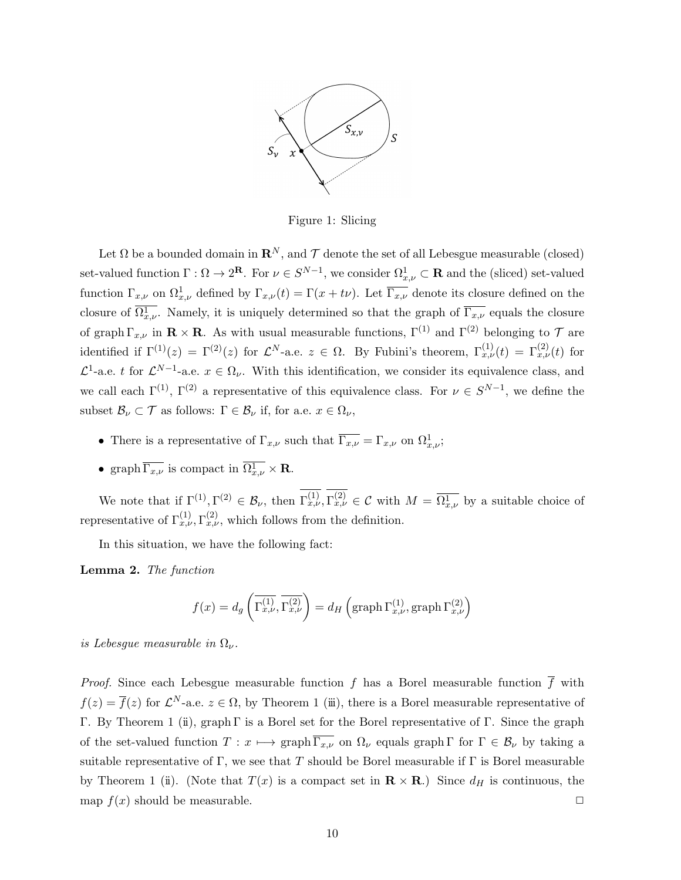

Figure 1: Slicing

Let  $\Omega$  be a bounded domain in  $\mathbb{R}^N$ , and  $\mathcal T$  denote the set of all Lebesgue measurable (closed) set-valued function  $\Gamma : \Omega \to 2^{\mathbf{R}}$ . For  $\nu \in S^{N-1}$ , we consider  $\Omega^1_{x,\nu} \subset \mathbf{R}$  and the (sliced) set-valued function  $\Gamma_{x,\nu}$  on  $\Omega_{x,\nu}^1$  defined by  $\Gamma_{x,\nu}(t) = \Gamma(x+t\nu)$ . Let  $\overline{\Gamma_{x,\nu}}$  denote its closure defined on the closure of  $\overline{\Omega_{x,\nu}^1}$ . Namely, it is uniquely determined so that the graph of  $\overline{\Gamma_{x,\nu}}$  equals the closure of graph  $\Gamma_{x,\nu}$  in  $\mathbf{R} \times \mathbf{R}$ . As with usual measurable functions,  $\Gamma^{(1)}$  and  $\Gamma^{(2)}$  belonging to  $\mathcal T$  are identified if  $\Gamma^{(1)}(z) = \Gamma^{(2)}(z)$  for  $\mathcal{L}^N$ -a.e.  $z \in \Omega$ . By Fubini's theorem,  $\Gamma^{(1)}_{x,\nu}(t) = \Gamma^{(2)}_{x,\nu}(t)$  for  $\mathcal{L}^1$ -a.e. t for  $\mathcal{L}^{N-1}$ -a.e.  $x \in \Omega_\nu$ . With this identification, we consider its equivalence class, and we call each  $\Gamma^{(1)}$ ,  $\Gamma^{(2)}$  a representative of this equivalence class. For  $\nu \in S^{N-1}$ , we define the subset  $\mathcal{B}_{\nu} \subset \mathcal{T}$  as follows:  $\Gamma \in \mathcal{B}_{\nu}$  if, for a.e.  $x \in \Omega_{\nu}$ ,

- There is a representative of  $\Gamma_{x,\nu}$  such that  $\overline{\Gamma_{x,\nu}} = \Gamma_{x,\nu}$  on  $\Omega_{x,\nu}^1$ ;
- graph  $\overline{\Gamma_{x,\nu}}$  is compact in  $\Omega^1_{x,\nu} \times \mathbf{R}$ .

We note that if  $\Gamma^{(1)}, \Gamma^{(2)} \in \mathcal{B}_{\nu}$ , then  $\Gamma^{(1)}_{x,\nu}, \Gamma^{(2)}_{x,\nu} \in \mathcal{C}$  with  $M = \overline{\Omega^1_{x,\nu}}$  by a suitable choice of representative of  $\Gamma_{x,\nu}^{(1)}$ ,  $\Gamma_{x,\nu}^{(2)}$ , which follows from the definition.

In this situation, we have the following fact:

Lemma 2. The function

$$
f(x) = d_g\left(\overline{\Gamma_{x,\nu}^{(1)}}, \overline{\Gamma_{x,\nu}^{(2)}}\right) = d_H\left(\text{graph}\,\Gamma_{x,\nu}^{(1)}, \text{graph}\,\Gamma_{x,\nu}^{(2)}\right)
$$

is Lebesgue measurable in  $\Omega_{\nu}$ .

*Proof.* Since each Lebesgue measurable function f has a Borel measurable function  $\overline{f}$  with  $f(z) = \overline{f}(z)$  for  $\mathcal{L}^N$ -a.e.  $z \in \Omega$ , by Theorem 1 (iii), there is a Borel measurable representative of Γ. By Theorem 1 (ii), graph Γ is a Borel set for the Borel representative of Γ. Since the graph of the set-valued function  $T : x \mapsto \text{graph}\,\overline{\Gamma_{x,\nu}}$  on  $\Omega_{\nu}$  equals graph  $\Gamma$  for  $\Gamma \in \mathcal{B}_{\nu}$  by taking a suitable representative of Γ, we see that T should be Borel measurable if Γ is Borel measurable by Theorem 1 (ii). (Note that  $T(x)$  is a compact set in  $\mathbf{R} \times \mathbf{R}$ .) Since  $d_H$  is continuous, the map  $f(x)$  should be measurable.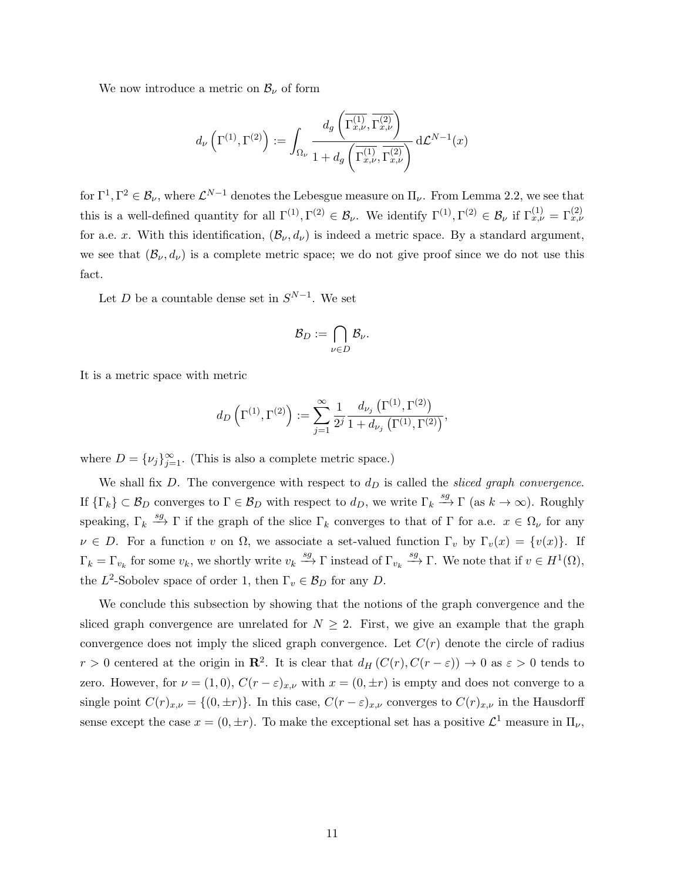We now introduce a metric on  $\mathcal{B}_{\nu}$  of form

$$
d_{\nu}\left(\Gamma^{(1)},\Gamma^{(2)}\right) := \int_{\Omega_{\nu}} \frac{d_{g}\left(\overline{\Gamma_{x,\nu}^{(1)}},\overline{\Gamma_{x,\nu}^{(2)}}\right)}{1 + d_{g}\left(\overline{\Gamma_{x,\nu}^{(1)}},\overline{\Gamma_{x,\nu}^{(2)}}\right)} d\mathcal{L}^{N-1}(x)
$$

for  $\Gamma^1, \Gamma^2 \in \mathcal{B}_\nu$ , where  $\mathcal{L}^{N-1}$  denotes the Lebesgue measure on  $\Pi_\nu$ . From Lemma 2.2, we see that this is a well-defined quantity for all  $\Gamma^{(1)}, \Gamma^{(2)} \in \mathcal{B}_{\nu}$ . We identify  $\Gamma^{(1)}, \Gamma^{(2)} \in \mathcal{B}_{\nu}$  if  $\Gamma_{x,\nu}^{(1)} = \Gamma_{x,\nu}^{(2)}$ for a.e. x. With this identification,  $(\mathcal{B}_{\nu}, d_{\nu})$  is indeed a metric space. By a standard argument, we see that  $(\mathcal{B}_{\nu}, d_{\nu})$  is a complete metric space; we do not give proof since we do not use this fact.

Let D be a countable dense set in  $S^{N-1}$ . We set

$$
\mathcal{B}_D := \bigcap_{\nu \in D} \mathcal{B}_\nu.
$$

It is a metric space with metric

$$
d_D\left(\Gamma^{(1)},\Gamma^{(2)}\right) := \sum_{j=1}^{\infty} \frac{1}{2^j} \frac{d_{\nu_j}\left(\Gamma^{(1)},\Gamma^{(2)}\right)}{1 + d_{\nu_j}\left(\Gamma^{(1)},\Gamma^{(2)}\right)},
$$

where  $D = \{v_j\}_{j=1}^{\infty}$ . (This is also a complete metric space.)

We shall fix D. The convergence with respect to  $d<sub>D</sub>$  is called the sliced graph convergence. If  $\{\Gamma_k\} \subset \mathcal{B}_D$  converges to  $\Gamma \in \mathcal{B}_D$  with respect to  $d_D$ , we write  $\Gamma_k \stackrel{sg}{\longrightarrow} \Gamma$  (as  $k \to \infty$ ). Roughly speaking,  $\Gamma_k \stackrel{sg}{\longrightarrow} \Gamma$  if the graph of the slice  $\Gamma_k$  converges to that of  $\Gamma$  for a.e.  $x \in \Omega_{\nu}$  for any  $\nu \in D$ . For a function v on  $\Omega$ , we associate a set-valued function  $\Gamma_v$  by  $\Gamma_v(x) = \{v(x)\}\$ . If  $\Gamma_k = \Gamma_{v_k}$  for some  $v_k$ , we shortly write  $v_k \stackrel{sg}{\longrightarrow} \Gamma$  instead of  $\Gamma_{v_k} \stackrel{sg}{\longrightarrow} \Gamma$ . We note that if  $v \in H^1(\Omega)$ , the  $L^2$ -Sobolev space of order 1, then  $\Gamma_v \in \mathcal{B}_D$  for any D.

We conclude this subsection by showing that the notions of the graph convergence and the sliced graph convergence are unrelated for  $N \geq 2$ . First, we give an example that the graph convergence does not imply the sliced graph convergence. Let  $C(r)$  denote the circle of radius  $r > 0$  centered at the origin in  $\mathbb{R}^2$ . It is clear that  $d_H(C(r), C(r - \varepsilon)) \to 0$  as  $\varepsilon > 0$  tends to zero. However, for  $\nu = (1,0), C(r - \varepsilon)_{x,\nu}$  with  $x = (0, \pm r)$  is empty and does not converge to a single point  $C(r)_{x,\nu} = \{(0, \pm r)\}\.$  In this case,  $C(r - \varepsilon)_{x,\nu}$  converges to  $C(r)_{x,\nu}$  in the Hausdorff sense except the case  $x = (0, \pm r)$ . To make the exceptional set has a positive  $\mathcal{L}^1$  measure in  $\Pi_{\nu}$ ,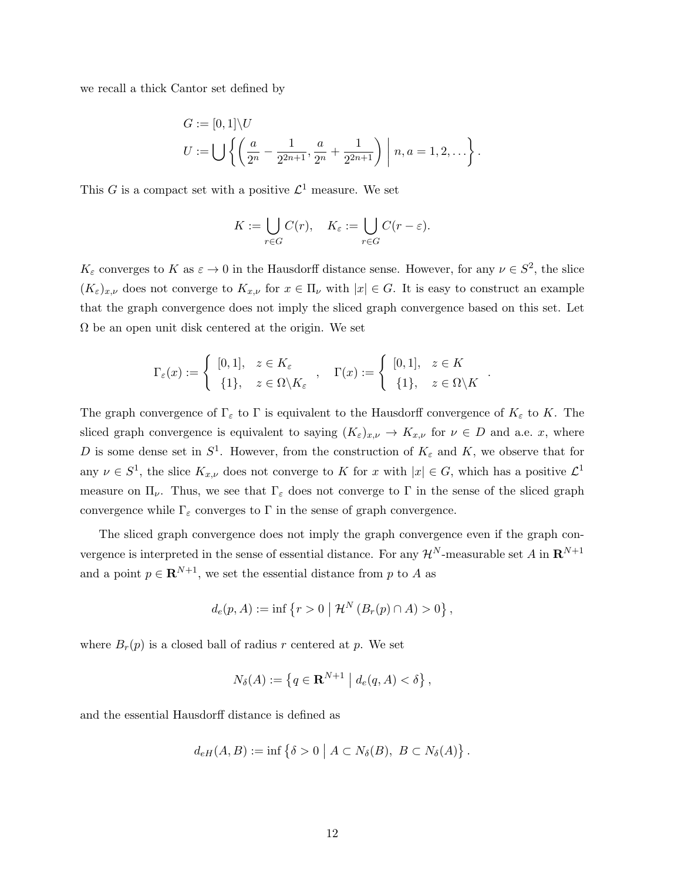we recall a thick Cantor set defined by

$$
G := [0,1] \setminus U
$$
  

$$
U := \bigcup \left\{ \left( \frac{a}{2^n} - \frac{1}{2^{2n+1}}, \frac{a}{2^n} + \frac{1}{2^{2n+1}} \right) \middle| n, a = 1, 2, \dots \right\}.
$$

This G is a compact set with a positive  $\mathcal{L}^1$  measure. We set

$$
K := \bigcup_{r \in G} C(r), \quad K_{\varepsilon} := \bigcup_{r \in G} C(r - \varepsilon).
$$

 $K_{\varepsilon}$  converges to K as  $\varepsilon \to 0$  in the Hausdorff distance sense. However, for any  $\nu \in S^2$ , the slice  $(K_{\varepsilon})_{x,\nu}$  does not converge to  $K_{x,\nu}$  for  $x \in \Pi_{\nu}$  with  $|x| \in G$ . It is easy to construct an example that the graph convergence does not imply the sliced graph convergence based on this set. Let  $\Omega$  be an open unit disk centered at the origin. We set

$$
\Gamma_{\varepsilon}(x) := \begin{cases} [0,1], & z \in K_{\varepsilon} \\ \{1\}, & z \in \Omega \setminus K_{\varepsilon} \end{cases}, \quad \Gamma(x) := \begin{cases} [0,1], & z \in K \\ \{1\}, & z \in \Omega \setminus K \end{cases}
$$

.

The graph convergence of  $\Gamma_{\varepsilon}$  to  $\Gamma$  is equivalent to the Hausdorff convergence of  $K_{\varepsilon}$  to K. The sliced graph convergence is equivalent to saying  $(K_{\varepsilon})_{x,\nu} \to K_{x,\nu}$  for  $\nu \in D$  and a.e. x, where D is some dense set in  $S^1$ . However, from the construction of  $K_{\varepsilon}$  and K, we observe that for any  $\nu \in S^1$ , the slice  $K_{x,\nu}$  does not converge to K for x with  $|x| \in G$ , which has a positive  $\mathcal{L}^1$ measure on  $\Pi_{\nu}$ . Thus, we see that  $\Gamma_{\varepsilon}$  does not converge to  $\Gamma$  in the sense of the sliced graph convergence while  $\Gamma_{\varepsilon}$  converges to  $\Gamma$  in the sense of graph convergence.

The sliced graph convergence does not imply the graph convergence even if the graph convergence is interpreted in the sense of essential distance. For any  $\mathcal{H}^N$ -measurable set A in  $\mathbb{R}^{N+1}$ and a point  $p \in \mathbb{R}^{N+1}$ , we set the essential distance from p to A as

$$
d_e(p, A) := \inf \{ r > 0 \mid \mathcal{H}^N (B_r(p) \cap A) > 0 \},
$$

where  $B_r(p)$  is a closed ball of radius r centered at p. We set

$$
N_{\delta}(A) := \left\{ q \in \mathbf{R}^{N+1} \mid d_e(q, A) < \delta \right\},
$$

and the essential Hausdorff distance is defined as

$$
d_{eH}(A, B) := \inf \left\{ \delta > 0 \mid A \subset N_{\delta}(B), \ B \subset N_{\delta}(A) \right\}.
$$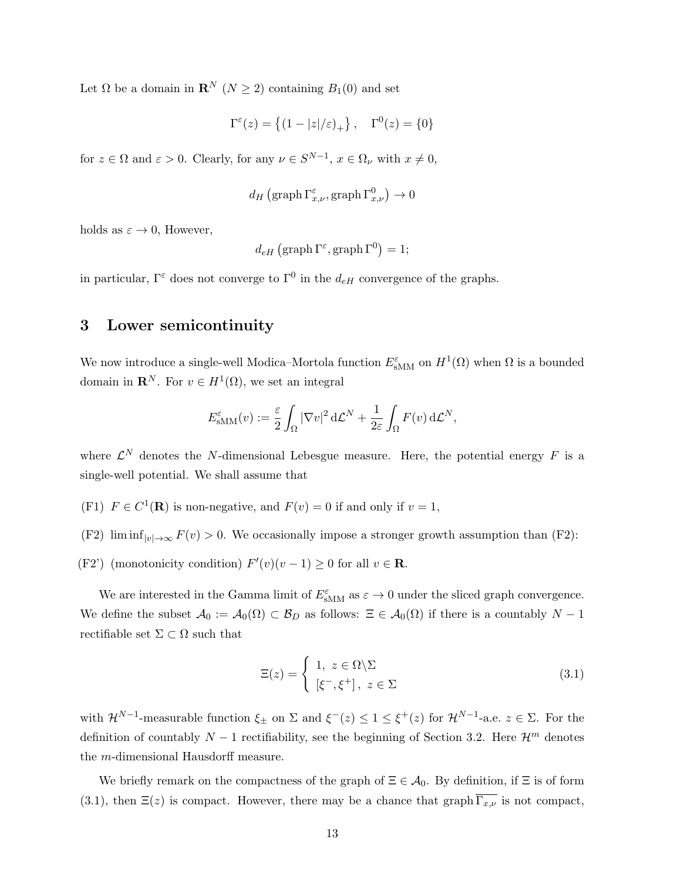Let  $\Omega$  be a domain in  $\mathbf{R}^N$   $(N \geq 2)$  containing  $B_1(0)$  and set

$$
\Gamma^{\varepsilon}(z) = \left\{ (1 - |z|/\varepsilon)_{+} \right\}, \quad \Gamma^{0}(z) = \{0\}
$$

for  $z \in \Omega$  and  $\varepsilon > 0$ . Clearly, for any  $\nu \in S^{N-1}$ ,  $x \in \Omega_{\nu}$  with  $x \neq 0$ ,

$$
d_H\left(\mathrm{graph}\,\Gamma_{x,\nu}^\varepsilon,\mathrm{graph}\,\Gamma_{x,\nu}^0\right)\to 0
$$

holds as  $\varepsilon \to 0$ , However,

$$
d_{eH} (\text{graph } \Gamma^{\varepsilon}, \text{graph } \Gamma^0) = 1;
$$

in particular,  $\Gamma^{\varepsilon}$  does not converge to  $\Gamma^{0}$  in the  $d_{eH}$  convergence of the graphs.

## 3 Lower semicontinuity

We now introduce a single-well Modica–Mortola function  $E_{\text{sMM}}^{\varepsilon}$  on  $H^1(\Omega)$  when  $\Omega$  is a bounded domain in  $\mathbf{R}^N$ . For  $v \in H^1(\Omega)$ , we set an integral

$$
E_{\text{sMM}}^{\varepsilon}(v) := \frac{\varepsilon}{2} \int_{\Omega} |\nabla v|^2 d\mathcal{L}^N + \frac{1}{2\varepsilon} \int_{\Omega} F(v) d\mathcal{L}^N,
$$

where  $\mathcal{L}^N$  denotes the N-dimensional Lebesgue measure. Here, the potential energy F is a single-well potential. We shall assume that

- (F1)  $F \in C^1(\mathbf{R})$  is non-negative, and  $F(v) = 0$  if and only if  $v = 1$ ,
- (F2) lim  $\inf_{|v|\to\infty} F(v) > 0$ . We occasionally impose a stronger growth assumption than (F2):
- (F2') (monotonicity condition)  $F'(v)(v-1) \ge 0$  for all  $v \in \mathbb{R}$ .

We are interested in the Gamma limit of  $E_{\text{sMM}}^{\varepsilon}$  as  $\varepsilon \to 0$  under the sliced graph convergence. We define the subset  $\mathcal{A}_0 := \mathcal{A}_0(\Omega) \subset \mathcal{B}_D$  as follows:  $\Xi \in \mathcal{A}_0(\Omega)$  if there is a countably  $N-1$ rectifiable set  $\Sigma \subset \Omega$  such that

$$
\Xi(z) = \begin{cases} 1, & z \in \Omega \setminus \Sigma \\ [\xi^-, \xi^+] , & z \in \Sigma \end{cases}
$$
 (3.1)

with  $\mathcal{H}^{N-1}$ -measurable function  $\xi_{\pm}$  on  $\Sigma$  and  $\xi^{-}(z) \leq 1 \leq \xi^{+}(z)$  for  $\mathcal{H}^{N-1}$ -a.e.  $z \in \Sigma$ . For the definition of countably  $N-1$  rectifiability, see the beginning of Section 3.2. Here  $\mathcal{H}^m$  denotes the m-dimensional Hausdorff measure.

We briefly remark on the compactness of the graph of  $\Xi \in \mathcal{A}_0$ . By definition, if  $\Xi$  is of form (3.1), then  $\Xi(z)$  is compact. However, there may be a chance that graph  $\overline{\Gamma_{x,\nu}}$  is not compact,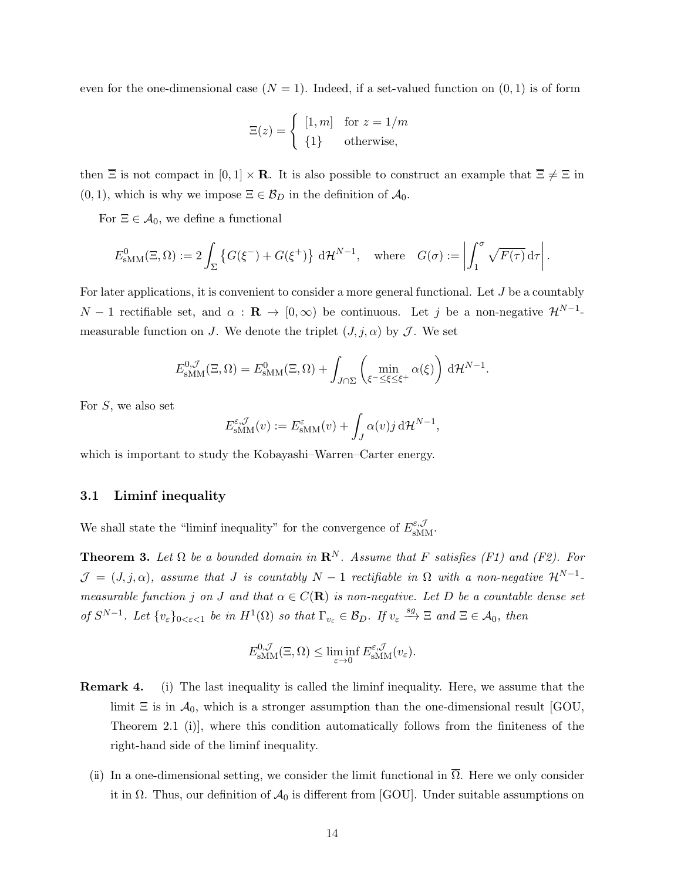even for the one-dimensional case  $(N = 1)$ . Indeed, if a set-valued function on  $(0, 1)$  is of form

$$
\Xi(z) = \begin{cases} [1, m] & \text{for } z = 1/m \\ \{1\} & \text{otherwise,} \end{cases}
$$

then  $\overline{\Xi}$  is not compact in  $[0,1] \times \mathbf{R}$ . It is also possible to construct an example that  $\overline{\Xi} \neq \Xi$  in  $(0, 1)$ , which is why we impose  $\Xi \in \mathcal{B}_D$  in the definition of  $\mathcal{A}_0$ .

For  $\Xi \in \mathcal{A}_0$ , we define a functional

$$
E_{\text{sMM}}^0(\Xi,\Omega) := 2\int_{\Sigma} \left\{ G(\xi^-) + G(\xi^+) \right\} \, \mathrm{d} \mathcal{H}^{N-1}, \quad \text{where} \quad G(\sigma) := \left| \int_1^{\sigma} \sqrt{F(\tau)} \, \mathrm{d} \tau \right|.
$$

For later applications, it is convenient to consider a more general functional. Let J be a countably  $N-1$  rectifiable set, and  $\alpha$  :  $\mathbf{R} \to [0,\infty)$  be continuous. Let j be a non-negative  $\mathcal{H}^{N-1}$ measurable function on J. We denote the triplet  $(J, j, \alpha)$  by J. We set

$$
E_{\text{sMM}}^{0,\mathcal{J}}(\Xi,\Omega) = E_{\text{sMM}}^{0}(\Xi,\Omega) + \int_{J\cap\Sigma} \left(\min_{\xi^{-} \leq \xi \leq \xi^{+}} \alpha(\xi)\right) d\mathcal{H}^{N-1}.
$$

For S, we also set

$$
E_{\text{sMM}}^{\varepsilon,\mathcal{J}}(v) := E_{\text{sMM}}^{\varepsilon}(v) + \int_{J} \alpha(v) j \, d\mathcal{H}^{N-1},
$$

which is important to study the Kobayashi–Warren–Carter energy.

#### 3.1 Liminf inequality

We shall state the "liminf inequality" for the convergence of  $E_{\text{sMM}}^{\varepsilon,\mathcal{J}}$ .

**Theorem 3.** Let  $\Omega$  be a bounded domain in  $\mathbb{R}^N$ . Assume that F satisfies (F1) and (F2). For  $\mathcal{J} = (J, j, \alpha)$ , assume that J is countably  $N - 1$  rectifiable in  $\Omega$  with a non-negative  $\mathcal{H}^{N-1}$ measurable function j on J and that  $\alpha \in C(\mathbf{R})$  is non-negative. Let D be a countable dense set of  $S^{N-1}$ . Let  $\{v_{\varepsilon}\}_{0<\varepsilon<1}$  be in  $H^1(\Omega)$  so that  $\Gamma_{v_{\varepsilon}} \in \mathcal{B}_D$ . If  $v_{\varepsilon} \stackrel{sg}{\longrightarrow} \Xi$  and  $\Xi \in \mathcal{A}_0$ , then

$$
E_{\text{sMM}}^{0,\mathcal{J}}(\Xi,\Omega) \leq \liminf_{\varepsilon \to 0} E_{\text{sMM}}^{\varepsilon,\mathcal{J}}(v_{\varepsilon}).
$$

- Remark 4. (i) The last inequality is called the liminf inequality. Here, we assume that the limit  $\Xi$  is in  $\mathcal{A}_0$ , which is a stronger assumption than the one-dimensional result [GOU, Theorem 2.1 (i)], where this condition automatically follows from the finiteness of the right-hand side of the liminf inequality.
	- (ii) In a one-dimensional setting, we consider the limit functional in  $\overline{\Omega}$ . Here we only consider it in  $\Omega$ . Thus, our definition of  $\mathcal{A}_0$  is different from [GOU]. Under suitable assumptions on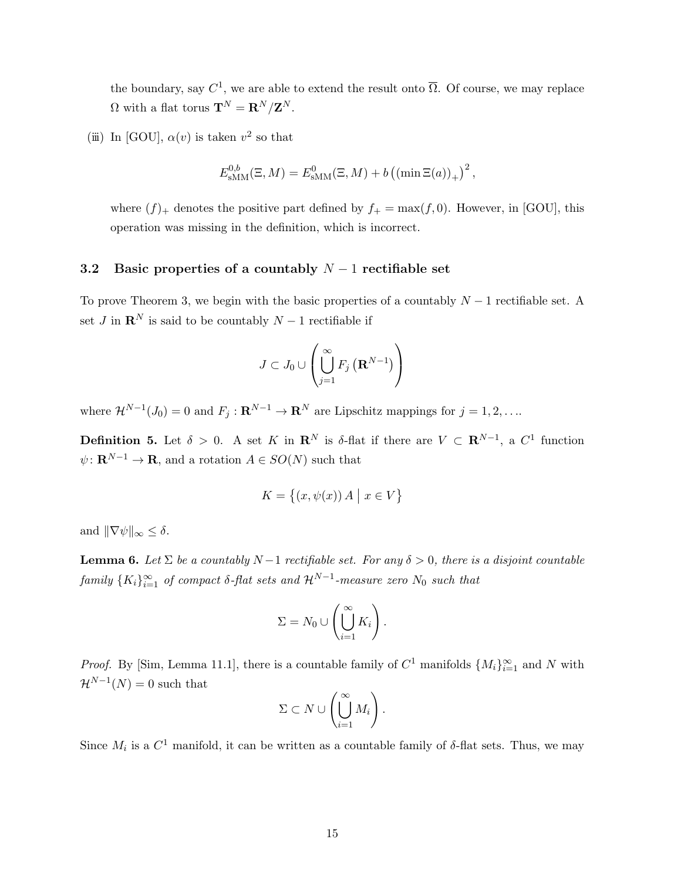the boundary, say  $C^1$ , we are able to extend the result onto  $\overline{\Omega}$ . Of course, we may replace  $\Omega$  with a flat torus  $\mathbf{T}^N = \mathbf{R}^N / \mathbf{Z}^N$ .

(iii) In [GOU],  $\alpha(v)$  is taken  $v^2$  so that

$$
E_{\text{sMM}}^{0,b}(\Xi, M) = E_{\text{sMM}}^{0}(\Xi, M) + b \left( \left( \min \Xi(a) \right)_{+} \right)^{2},
$$

where  $(f)$  denotes the positive part defined by  $f_+ = \max(f, 0)$ . However, in [GOU], this operation was missing in the definition, which is incorrect.

## 3.2 Basic properties of a countably  $N-1$  rectifiable set

To prove Theorem 3, we begin with the basic properties of a countably  $N-1$  rectifiable set. A set J in  $\mathbb{R}^N$  is said to be countably  $N-1$  rectifiable if

$$
J\subset J_0\cup\left(\bigcup_{j=1}^{\infty} F_j\left(\mathbf{R}^{N-1}\right)\right)
$$

where  $\mathcal{H}^{N-1}(J_0) = 0$  and  $F_j : \mathbf{R}^{N-1} \to \mathbf{R}^N$  are Lipschitz mappings for  $j = 1, 2, \ldots$ 

**Definition 5.** Let  $\delta > 0$ . A set K in  $\mathbb{R}^N$  is  $\delta$ -flat if there are  $V \subset \mathbb{R}^{N-1}$ , a  $C^1$  function  $\psi: \mathbf{R}^{N-1} \to \mathbf{R}$ , and a rotation  $A \in SO(N)$  such that

$$
K = \{(x, \psi(x)) \, A \mid x \in V\}
$$

and  $\|\nabla\psi\|_{\infty} \leq \delta$ .

**Lemma 6.** Let  $\Sigma$  be a countably  $N-1$  rectifiable set. For any  $\delta > 0$ , there is a disjoint countable  $family\ \{K_i\}_{i=1}^\infty$  of compact  $\delta$ -flat sets and  $\mathcal{H}^{N-1}$ -measure zero  $N_0$  such that

$$
\Sigma = N_0 \cup \left(\bigcup_{i=1}^{\infty} K_i\right).
$$

*Proof.* By [Sim, Lemma 11.1], there is a countable family of  $C^1$  manifolds  $\{M_i\}_{i=1}^{\infty}$  and N with  $\mathcal{H}^{N-1}(N) = 0$  such that

$$
\Sigma \subset N \cup \left(\bigcup_{i=1}^{\infty} M_i\right).
$$

Since  $M_i$  is a  $C^1$  manifold, it can be written as a countable family of  $\delta$ -flat sets. Thus, we may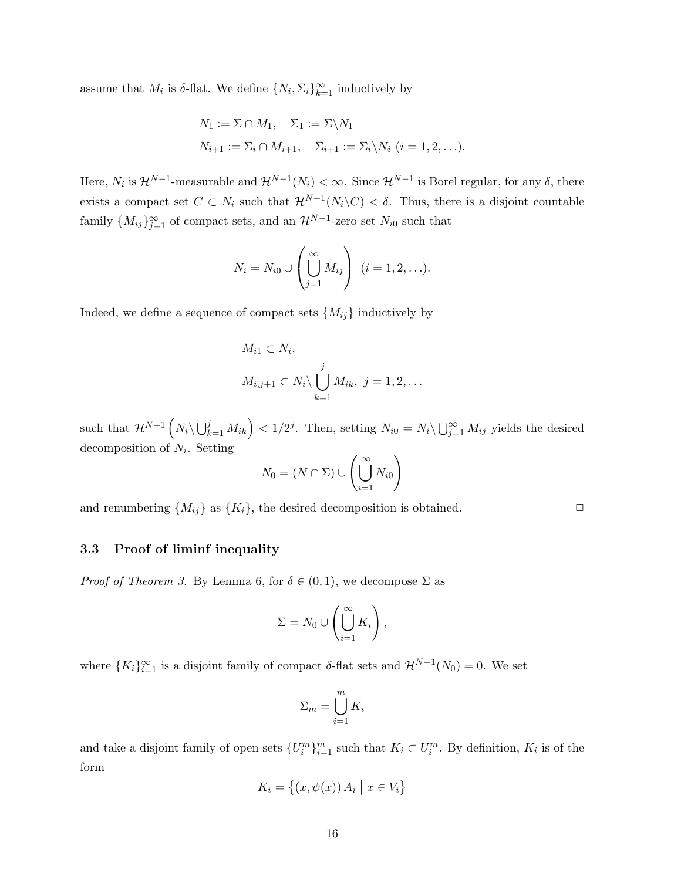assume that  $M_i$  is  $\delta$ -flat. We define  $\{N_i, \Sigma_i\}_{k=1}^{\infty}$  inductively by

$$
N_1 := \Sigma \cap M_1, \quad \Sigma_1 := \Sigma \setminus N_1
$$
  

$$
N_{i+1} := \Sigma_i \cap M_{i+1}, \quad \Sigma_{i+1} := \Sigma_i \setminus N_i \ (i = 1, 2, \ldots).
$$

Here,  $N_i$  is  $\mathcal{H}^{N-1}$ -measurable and  $\mathcal{H}^{N-1}(N_i) < \infty$ . Since  $\mathcal{H}^{N-1}$  is Borel regular, for any  $\delta$ , there exists a compact set  $C \subset N_i$  such that  $\mathcal{H}^{N-1}(N_i \backslash C) < \delta$ . Thus, there is a disjoint countable family  ${M_{ij}}_{j=1}^{\infty}$  of compact sets, and an  $\mathcal{H}^{N-1}$ -zero set  $N_{i0}$  such that

$$
N_i = N_{i0} \cup \left(\bigcup_{j=1}^{\infty} M_{ij}\right) \ (i = 1, 2, \ldots).
$$

Indeed, we define a sequence of compact sets  $\{M_{ij}\}\$ inductively by

$$
M_{i1} \subset N_i,
$$
  

$$
M_{i,j+1} \subset N_i \setminus \bigcup_{k=1}^j M_{ik}, \ j = 1, 2, \dots
$$

such that  $\mathcal{H}^{N-1}\left(N_i\setminus\bigcup_{k=1}^j M_{ik}\right) < 1/2^j$ . Then, setting  $N_{i0} = N_i\setminus\bigcup_{j=1}^\infty M_{ij}$  yields the desired decomposition of  $N_i$ . Setting

$$
N_0 = (N \cap \Sigma) \cup \left(\bigcup_{i=1}^{\infty} N_{i0}\right)
$$

and renumbering  $\{M_{ij}\}\$ as  $\{K_i\}$ , the desired decomposition is obtained.

### 3.3 Proof of liminf inequality

*Proof of Theorem 3.* By Lemma 6, for  $\delta \in (0,1)$ , we decompose  $\Sigma$  as

$$
\Sigma = N_0 \cup \left(\bigcup_{i=1}^{\infty} K_i\right),
$$

where  ${K_i}_{i=1}^{\infty}$  is a disjoint family of compact  $\delta$ -flat sets and  $\mathcal{H}^{N-1}(N_0) = 0$ . We set

$$
\Sigma_m = \bigcup_{i=1}^m K_i
$$

and take a disjoint family of open sets  $\{U_i^m\}_{i=1}^m$  such that  $K_i \subset U_i^m$ . By definition,  $K_i$  is of the form

$$
K_i = \{(x, \psi(x)) A_i \mid x \in V_i\}
$$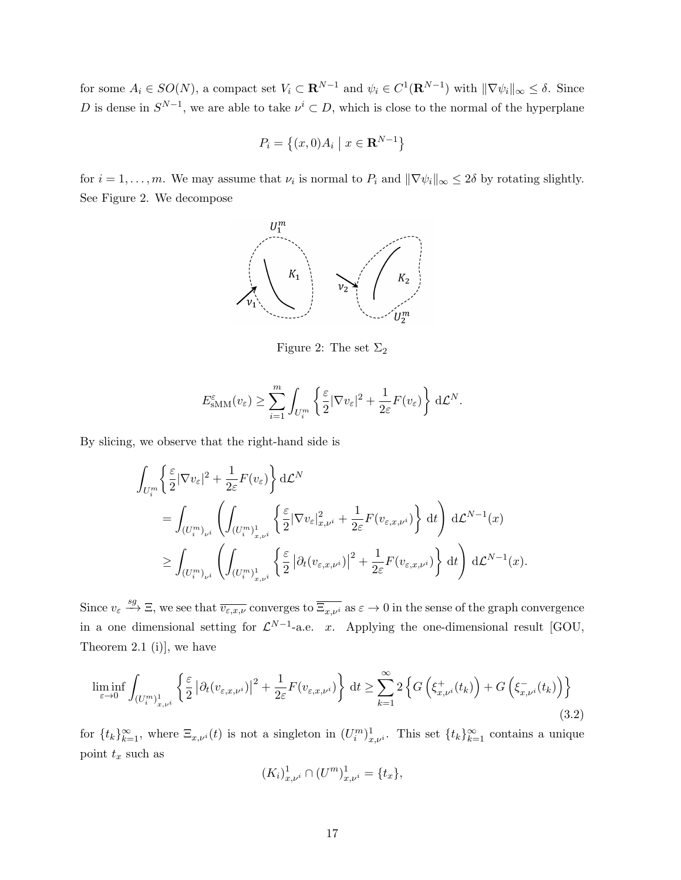for some  $A_i \in SO(N)$ , a compact set  $V_i \subset \mathbf{R}^{N-1}$  and  $\psi_i \in C^1(\mathbf{R}^{N-1})$  with  $\|\nabla \psi_i\|_{\infty} \leq \delta$ . Since D is dense in  $S^{N-1}$ , we are able to take  $\nu^i \subset D$ , which is close to the normal of the hyperplane

$$
P_i = \left\{ (x,0)A_i \mid x \in \mathbf{R}^{N-1} \right\}
$$

for  $i = 1, ..., m$ . We may assume that  $\nu_i$  is normal to  $P_i$  and  $\|\nabla \psi_i\|_{\infty} \leq 2\delta$  by rotating slightly. See Figure 2. We decompose



Figure 2: The set  $\Sigma_2$ 

$$
E_{\text{sMM}}^{\varepsilon}(v_{\varepsilon}) \geq \sum_{i=1}^{m} \int_{U_{i}^{m}} \left\{ \frac{\varepsilon}{2} |\nabla v_{\varepsilon}|^{2} + \frac{1}{2\varepsilon} F(v_{\varepsilon}) \right\} d\mathcal{L}^{N}.
$$

By slicing, we observe that the right-hand side is

$$
\int_{U_i^m} \left\{ \frac{\varepsilon}{2} |\nabla v_{\varepsilon}|^2 + \frac{1}{2\varepsilon} F(v_{\varepsilon}) \right\} d\mathcal{L}^N
$$
\n
$$
= \int_{(U_i^m)_{\nu^i}} \left( \int_{(U_i^m)_{x,\nu^i}^1} \left\{ \frac{\varepsilon}{2} |\nabla v_{\varepsilon}|_{x,\nu^i}^2 + \frac{1}{2\varepsilon} F(v_{\varepsilon,x,\nu^i}) \right\} dt \right) d\mathcal{L}^{N-1}(x)
$$
\n
$$
\geq \int_{(U_i^m)_{\nu^i}} \left( \int_{(U_i^m)_{x,\nu^i}^1} \left\{ \frac{\varepsilon}{2} |\partial_t (v_{\varepsilon,x,\nu^i})|^2 + \frac{1}{2\varepsilon} F(v_{\varepsilon,x,\nu^i}) \right\} dt \right) d\mathcal{L}^{N-1}(x).
$$

Since  $v_{\varepsilon} \stackrel{sg}{\longrightarrow} \Xi$ , we see that  $\overline{v_{\varepsilon,x,\nu}}$  converges to  $\overline{\Xi_{x,\nu}}$  as  $\varepsilon \to 0$  in the sense of the graph convergence in a one dimensional setting for  $\mathcal{L}^{N-1}$ -a.e. x. Applying the one-dimensional result [GOU, Theorem 2.1 (i)], we have

$$
\liminf_{\varepsilon \to 0} \int_{(U_i^m)_{x,\nu^i}^1} \left\{ \frac{\varepsilon}{2} \left| \partial_t (v_{\varepsilon,x,\nu^i}) \right|^2 + \frac{1}{2\varepsilon} F(v_{\varepsilon,x,\nu^i}) \right\} dt \ge \sum_{k=1}^{\infty} 2 \left\{ G\left(\xi_{x,\nu^i}^+(t_k)\right) + G\left(\xi_{x,\nu^i}^-(t_k)\right) \right\} \tag{3.2}
$$

for  $\{t_k\}_{k=1}^{\infty}$ , where  $\Xi_{x,\nu^i}(t)$  is not a singleton in  $(U_i^m)_{x,\nu^i}^1$ . This set  $\{t_k\}_{k=1}^{\infty}$  contains a unique point  $t_x$  such as

$$
(K_i)_{x,\nu^i}^1 \cap (U^m)_{x,\nu^i}^1 = \{t_x\},\
$$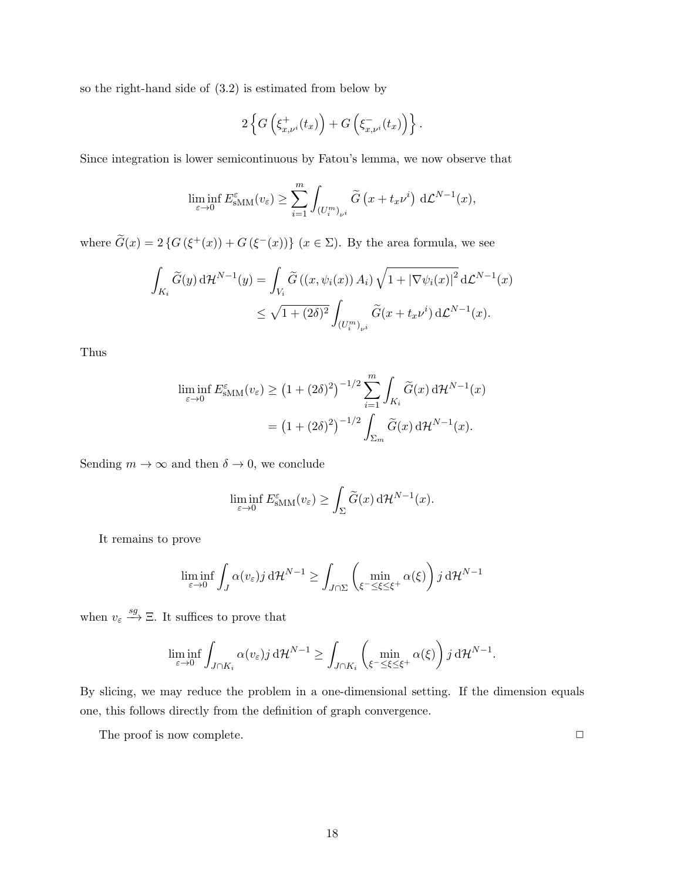so the right-hand side of (3.2) is estimated from below by

$$
2\left\{G\left(\xi_{x,\nu^i}^+(t_x)\right)+G\left(\xi_{x,\nu^i}^-(t_x)\right)\right\}.
$$

Since integration is lower semicontinuous by Fatou's lemma, we now observe that

$$
\liminf_{\varepsilon \to 0} E_{\text{sMM}}^{\varepsilon}(v_{\varepsilon}) \ge \sum_{i=1}^{m} \int_{(U_{i}^{m})_{\nu^{i}}} \widetilde{G}\left(x + t_{x} \nu^{i}\right) d\mathcal{L}^{N-1}(x),
$$

where  $\tilde{G}(x) = 2 \{ G(\xi^+(x)) + G(\xi^-(x)) \}$   $(x \in \Sigma)$ . By the area formula, we see

$$
\int_{K_i} \widetilde{G}(y) d\mathcal{H}^{N-1}(y) = \int_{V_i} \widetilde{G}((x, \psi_i(x)) A_i) \sqrt{1 + |\nabla \psi_i(x)|^2} d\mathcal{L}^{N-1}(x)
$$
  

$$
\leq \sqrt{1 + (2\delta)^2} \int_{(U_i^m)_{\nu^i}} \widetilde{G}(x + t_x \nu^i) d\mathcal{L}^{N-1}(x).
$$

Thus

$$
\liminf_{\varepsilon \to 0} E_{\text{sMM}}^{\varepsilon}(v_{\varepsilon}) \ge (1 + (2\delta)^2)^{-1/2} \sum_{i=1}^{m} \int_{K_i} \widetilde{G}(x) d\mathcal{H}^{N-1}(x)
$$

$$
= (1 + (2\delta)^2)^{-1/2} \int_{\Sigma_m} \widetilde{G}(x) d\mathcal{H}^{N-1}(x).
$$

Sending  $m \to \infty$  and then  $\delta \to 0$ , we conclude

$$
\liminf_{\varepsilon \to 0} E_{\text{sMM}}^{\varepsilon}(v_{\varepsilon}) \ge \int_{\Sigma} \widetilde{G}(x) \, d\mathcal{H}^{N-1}(x).
$$

It remains to prove

$$
\liminf_{\varepsilon \to 0} \int_J \alpha(v_{\varepsilon}) j \, d\mathcal{H}^{N-1} \ge \int_{J \cap \Sigma} \left( \min_{\xi^- \le \xi \le \xi^+} \alpha(\xi) \right) j \, d\mathcal{H}^{N-1}
$$

when  $v_{\varepsilon} \stackrel{sg}{\longrightarrow} \Xi$ . It suffices to prove that

$$
\liminf_{\varepsilon \to 0} \int_{J \cap K_i} \alpha(v_{\varepsilon}) j \, d\mathcal{H}^{N-1} \ge \int_{J \cap K_i} \left( \min_{\xi^- \le \xi \le \xi^+} \alpha(\xi) \right) j \, d\mathcal{H}^{N-1}.
$$

By slicing, we may reduce the problem in a one-dimensional setting. If the dimension equals one, this follows directly from the definition of graph convergence.

The proof is now complete.  $\Box$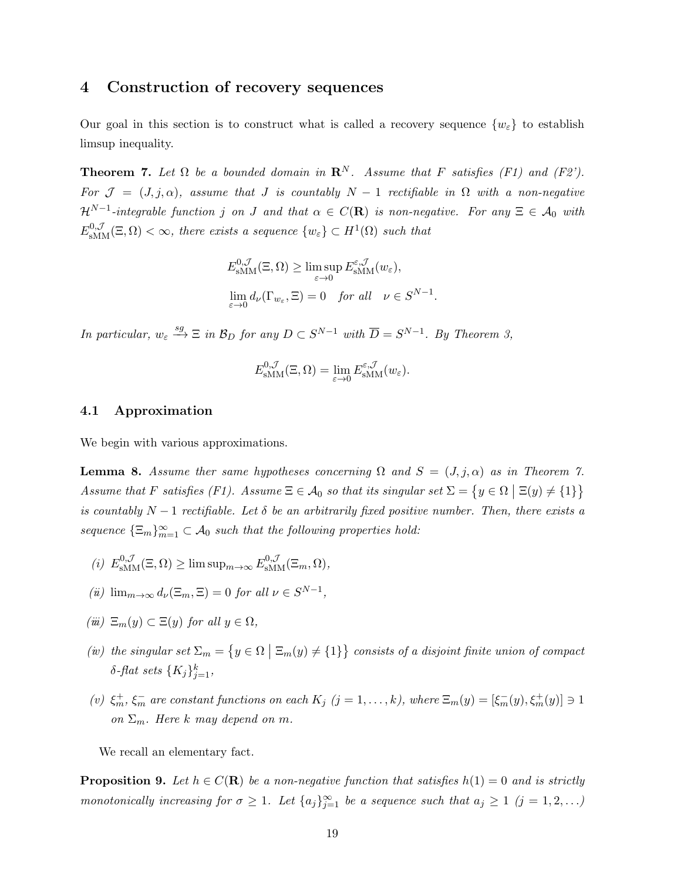## 4 Construction of recovery sequences

Our goal in this section is to construct what is called a recovery sequence  $\{w_{\varepsilon}\}\)$  to establish limsup inequality.

**Theorem 7.** Let  $\Omega$  be a bounded domain in  $\mathbb{R}^N$ . Assume that F satisfies (F1) and (F2'). For  $\mathcal{J} = (J, j, \alpha)$ , assume that J is countably  $N - 1$  rectifiable in  $\Omega$  with a non-negative  $\mathcal{H}^{N-1}$ -integrable function j on J and that  $\alpha \in C(\mathbf{R})$  is non-negative. For any  $\Xi \in \mathcal{A}_0$  with  $E_{\text{sMM}}^{0,\mathcal{J}}(\Xi,\Omega) < \infty$ , there exists a sequence  $\{w_{\varepsilon}\}\subset H^1(\Omega)$  such that

$$
E_{\text{sMM}}^{0,\mathcal{J}}(\Xi,\Omega) \ge \limsup_{\varepsilon \to 0} E_{\text{sMM}}^{\varepsilon,\mathcal{J}}(w_{\varepsilon}),
$$
  

$$
\lim_{\varepsilon \to 0} d_{\nu}(\Gamma_{w_{\varepsilon}},\Xi) = 0 \quad \text{for all} \quad \nu \in S^{N-1}.
$$

In particular,  $w_{\varepsilon} \stackrel{sg}{\longrightarrow} \Xi$  in  $\mathcal{B}_D$  for any  $D \subset S^{N-1}$  with  $\overline{D} = S^{N-1}$ . By Theorem 3,

$$
E_{\text{sMM}}^{0,\mathcal{J}}(\Xi,\Omega)=\lim_{\varepsilon\to 0}E_{\text{sMM}}^{\varepsilon,\mathcal{J}}(w_{\varepsilon}).
$$

#### 4.1 Approximation

We begin with various approximations.

**Lemma 8.** Assume ther same hypotheses concerning  $\Omega$  and  $S = (J, j, \alpha)$  as in Theorem 7. Assume that F satisfies (F1). Assume  $\Xi \in \mathcal{A}_0$  so that its singular set  $\Sigma = \{y \in \Omega \mid \Xi(y) \neq \{1\}\}\$ is countably  $N-1$  rectifiable. Let  $\delta$  be an arbitrarily fixed positive number. Then, there exists a sequence  $\{\Xi_m\}_{m=1}^{\infty} \subset \mathcal{A}_0$  such that the following properties hold:

- (i)  $E_{\text{sMM}}^{0,\mathcal{J}}(\Xi,\Omega) \ge \limsup_{m\to\infty} E_{\text{sMM}}^{0,\mathcal{J}}(\Xi_m,\Omega),$
- (*ü*)  $\lim_{m \to \infty} d_{\nu}(\Xi_m, \Xi) = 0$  for all  $\nu \in S^{N-1}$ ,
- $(iii) \ \Xi_m(y) \subset \Xi(y)$  for all  $y \in \Omega$ ,
- (iv) the singular set  $\Sigma_m = \{y \in \Omega \mid \Xi_m(y) \neq \{1\}\}\)$  consists of a disjoint finite union of compact  $\delta$ -flat sets  $\{K_j\}_{j=1}^k$ ,
- (v)  $\xi_m^+, \xi_m^-$  are constant functions on each  $K_j$   $(j = 1, ..., k)$ , where  $\Xi_m(y) = [\xi_m^-(y), \xi_m^+(y)] \ni 1$ on  $\Sigma_m$ . Here k may depend on m.

We recall an elementary fact.

**Proposition 9.** Let  $h \in C(\mathbf{R})$  be a non-negative function that satisfies  $h(1) = 0$  and is strictly monotonically increasing for  $\sigma \geq 1$ . Let  $\{a_j\}_{j=1}^{\infty}$  be a sequence such that  $a_j \geq 1$   $(j = 1, 2, ...)$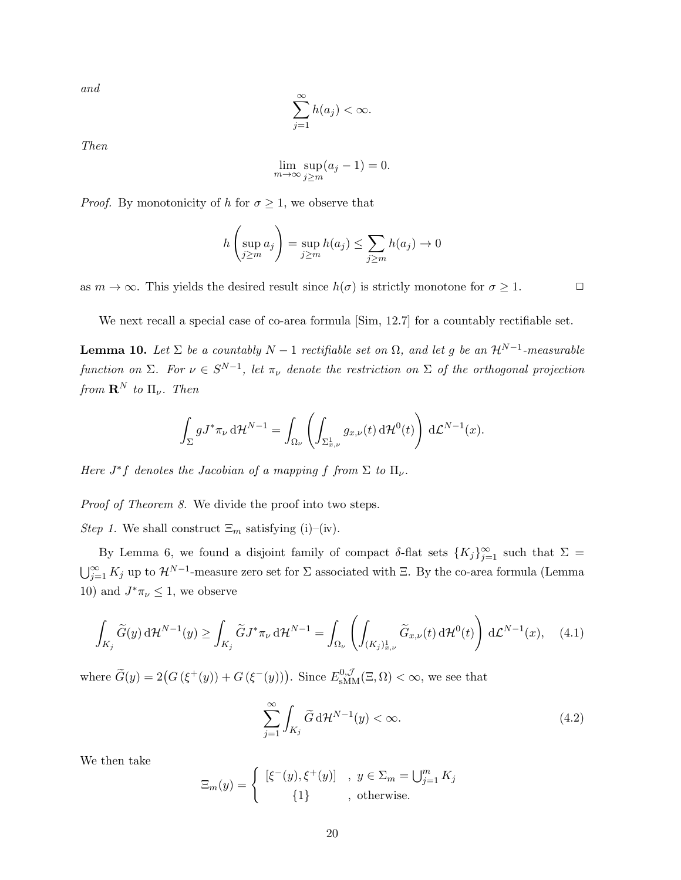and

$$
\sum_{j=1}^{\infty} h(a_j) < \infty.
$$

Then

$$
\lim_{m \to \infty} \sup_{j \ge m} (a_j - 1) = 0.
$$

*Proof.* By monotonicity of h for  $\sigma \geq 1$ , we observe that

$$
h\left(\sup_{j\geq m} a_j\right) = \sup_{j\geq m} h(a_j) \leq \sum_{j\geq m} h(a_j) \to 0
$$

as  $m \to \infty$ . This yields the desired result since  $h(\sigma)$  is strictly monotone for  $\sigma \geq 1$ .

We next recall a special case of co-area formula [Sim, 12.7] for a countably rectifiable set.

**Lemma 10.** Let  $\Sigma$  be a countably  $N-1$  rectifiable set on  $\Omega$ , and let g be an  $\mathcal{H}^{N-1}$ -measurable function on  $\Sigma$ . For  $\nu \in S^{N-1}$ , let  $\pi_{\nu}$  denote the restriction on  $\Sigma$  of the orthogonal projection from  $\mathbf{R}^N$  to  $\Pi_{\nu}$ . Then

$$
\int_{\Sigma} g J^* \pi_{\nu} d\mathcal{H}^{N-1} = \int_{\Omega_{\nu}} \left( \int_{\Sigma_{x,\nu}^1} g_{x,\nu}(t) d\mathcal{H}^0(t) \right) d\mathcal{L}^{N-1}(x).
$$

Here  $J^*f$  denotes the Jacobian of a mapping f from  $\Sigma$  to  $\Pi_{\nu}$ .

Proof of Theorem 8. We divide the proof into two steps.

*Step 1*. We shall construct  $\Xi_m$  satisfying (i)–(iv).

By Lemma 6, we found a disjoint family of compact  $\delta$ -flat sets  $\{K_j\}_{j=1}^{\infty}$  such that  $\Sigma =$  $\bigcup_{j=1}^{\infty} K_j$  up to  $\mathcal{H}^{N-1}$ -measure zero set for  $\Sigma$  associated with  $\Xi$ . By the co-area formula (Lemma 10) and  $J^*\pi_{\nu} \leq 1$ , we observe

$$
\int_{K_j} \widetilde{G}(y) d\mathcal{H}^{N-1}(y) \ge \int_{K_j} \widetilde{G} J^* \pi_{\nu} d\mathcal{H}^{N-1} = \int_{\Omega_{\nu}} \left( \int_{(K_j)_{x,\nu}^1} \widetilde{G}_{x,\nu}(t) d\mathcal{H}^0(t) \right) d\mathcal{L}^{N-1}(x), \quad (4.1)
$$

where  $\widetilde{G}(y) = 2(G(\xi^+(y)) + G(\xi^-(y)))$ . Since  $E_{\text{sMM}}^{0,\mathcal{J}}(\Xi,\Omega) < \infty$ , we see that

$$
\sum_{j=1}^{\infty} \int_{K_j} \widetilde{G} \, d\mathcal{H}^{N-1}(y) < \infty. \tag{4.2}
$$

We then take

$$
\Xi_m(y) = \begin{cases} [\xi^-(y), \xi^+(y)] , y \in \Sigma_m = \bigcup_{j=1}^m K_j \\ {1} , \text{ otherwise.} \end{cases}
$$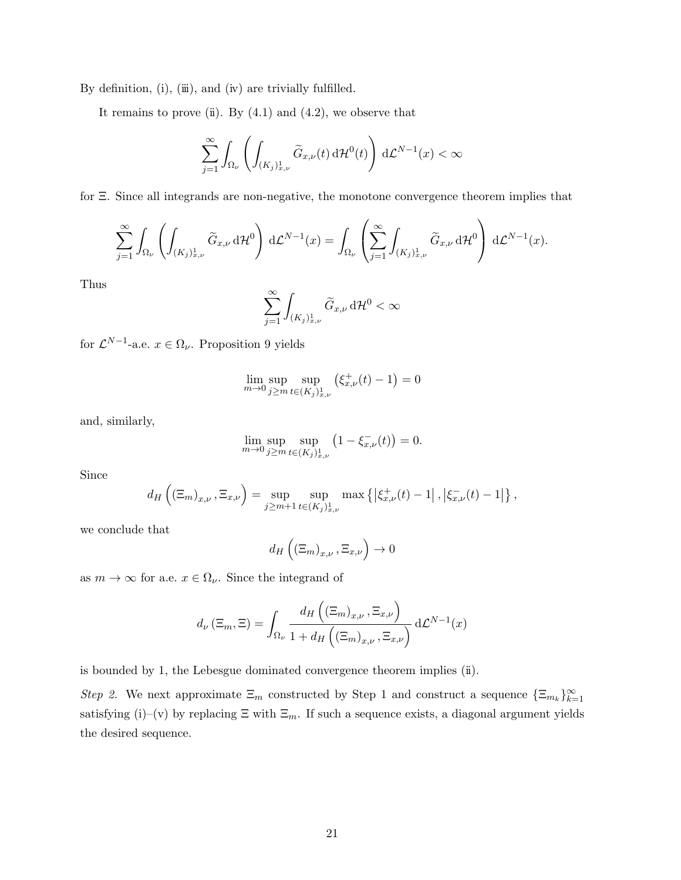By definition,  $(i)$ ,  $(i)$ , and  $(iv)$  are trivially fulfilled.

It remains to prove (ii). By  $(4.1)$  and  $(4.2)$ , we observe that

$$
\sum_{j=1}^{\infty}\int_{\Omega_{\nu}}\left(\int_{(K_{j})_{x,\nu}^{1}}\widetilde{G}_{x,\nu}(t)\,\mathrm{d}\mathcal{H}^{0}(t)\right)\,\mathrm{d}\mathcal{L}^{N-1}(x)<\infty
$$

for Ξ. Since all integrands are non-negative, the monotone convergence theorem implies that

$$
\sum_{j=1}^{\infty} \int_{\Omega_{\nu}} \left( \int_{(K_j)_{x,\nu}^1} \widetilde{G}_{x,\nu} d\mathcal{H}^0 \right) d\mathcal{L}^{N-1}(x) = \int_{\Omega_{\nu}} \left( \sum_{j=1}^{\infty} \int_{(K_j)_{x,\nu}^1} \widetilde{G}_{x,\nu} d\mathcal{H}^0 \right) d\mathcal{L}^{N-1}(x).
$$

Thus

$$
\sum_{j=1}^\infty \int_{(K_j)_{x,\nu}^1} \widetilde{G}_{x,\nu} \, \mathrm{d}\mathcal{H}^0 < \infty
$$

for  $\mathcal{L}^{N-1}$ -a.e.  $x \in \Omega_{\nu}$ . Proposition 9 yields

$$
\lim_{m \to 0} \sup_{j \ge m} \sup_{t \in (K_j)_{x,\nu}^1} (\xi_{x,\nu}^+(t) - 1) = 0
$$

and, similarly,

$$
\lim_{m \to 0} \sup_{j \ge m} \sup_{t \in (K_j)_{x,\nu}^1} (1 - \xi_{x,\nu}^-(t)) = 0.
$$

Since

$$
d_H\left((\Xi_m)_{x,\nu}, \Xi_{x,\nu}\right) = \sup_{j \geq m+1} \sup_{t \in (K_j)_{x,\nu}^1} \max \left\{ \left| \xi_{x,\nu}^+(t) - 1 \right|, \left| \xi_{x,\nu}^-(t) - 1 \right| \right\},\,
$$

we conclude that

$$
d_H\left((\Xi_m)_{x,\nu}, \Xi_{x,\nu}\right) \to 0
$$

as  $m \to \infty$  for a.e.  $x \in \Omega_{\nu}$ . Since the integrand of

$$
d_{\nu}(\Xi_m, \Xi) = \int_{\Omega_{\nu}} \frac{d_H\left((\Xi_m)_{x,\nu}, \Xi_{x,\nu}\right)}{1 + d_H\left((\Xi_m)_{x,\nu}, \Xi_{x,\nu}\right)} d\mathcal{L}^{N-1}(x)
$$

is bounded by 1, the Lebesgue dominated convergence theorem implies  $(i)$ .

Step 2. We next approximate  $\Xi_m$  constructed by Step 1 and construct a sequence  $\{\Xi_{m_k}\}_{k=1}^{\infty}$ satisfying (i)–(v) by replacing  $\Xi$  with  $\Xi_m$ . If such a sequence exists, a diagonal argument yields the desired sequence.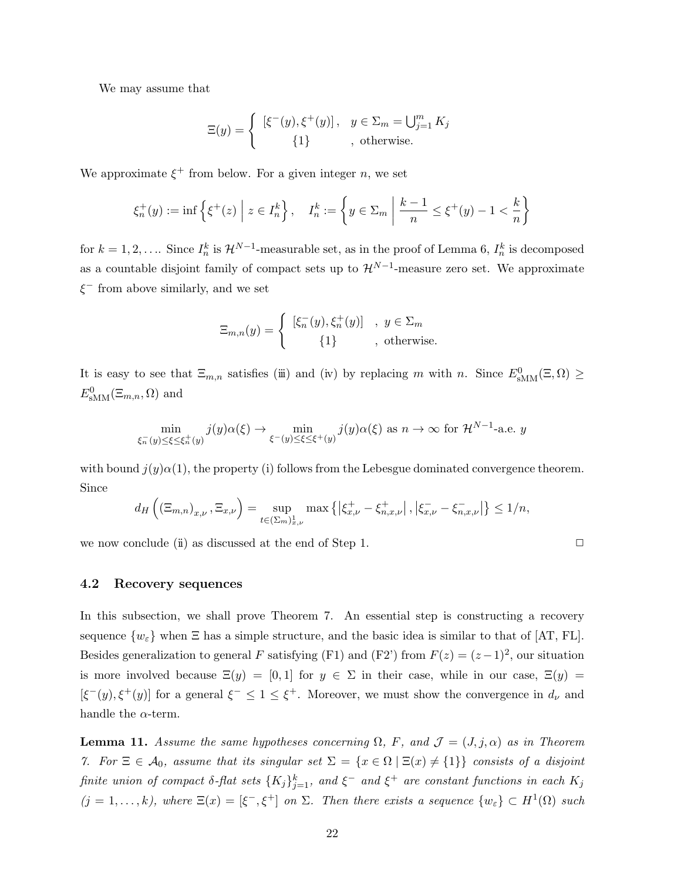We may assume that

$$
\Xi(y) = \begin{cases} \left[ \xi^-(y), \xi^+(y) \right], & y \in \Sigma_m = \bigcup_{j=1}^m K_j \\ \left\{ 1 \right\}, & \text{otherwise.} \end{cases}
$$

We approximate  $\xi^+$  from below. For a given integer n, we set

$$
\xi_n^+(y) := \inf \left\{ \xi^+(z) \mid z \in I_n^k \right\}, \quad I_n^k := \left\{ y \in \Sigma_m \mid \frac{k-1}{n} \le \xi^+(y) - 1 < \frac{k}{n} \right\}
$$

for  $k = 1, 2, \ldots$  Since  $I_n^k$  is  $\mathcal{H}^{N-1}$ -measurable set, as in the proof of Lemma 6,  $I_n^k$  is decomposed as a countable disjoint family of compact sets up to  $\mathcal{H}^{N-1}$ -measure zero set. We approximate  $\xi$ <sup>-</sup> from above similarly, and we set

$$
\Xi_{m,n}(y) = \begin{cases} [\xi_n^-(y), \xi_n^+(y)] & , y \in \Sigma_m \\ \{1\} & , \text{ otherwise.} \end{cases}
$$

It is easy to see that  $\Xi_{m,n}$  satisfies (iii) and (iv) by replacing m with n. Since  $E_{\text{sMM}}^0(\Xi,\Omega) \geq$  $E_{\text{sMM}}^{0}(\Xi_{m,n},\Omega)$  and

$$
\min_{\xi_n^-(y)\leq\xi\leq\xi_n^+(y)}j(y)\alpha(\xi)\to\min_{\xi^-(y)\leq\xi\leq\xi^+(y)}j(y)\alpha(\xi)\text{ as }n\to\infty\text{ for }\mathcal{H}^{N-1}\text{-a.e. }y
$$

with bound  $j(y)\alpha(1)$ , the property (i) follows from the Lebesgue dominated convergence theorem. Since

$$
d_H\left(\left(\Xi_{m,n}\right)_{x,\nu}, \Xi_{x,\nu}\right) = \sup_{t \in \left(\Sigma_m\right)_{x,\nu}^1} \max \left\{ \left|\xi_{x,\nu}^+ - \xi_{n,x,\nu}^+ \right|, \left|\xi_{x,\nu}^- - \xi_{n,x,\nu}^- \right| \right\} \le 1/n,
$$

we now conclude  $(ii)$  as discussed at the end of Step 1.

4.2 Recovery sequences

In this subsection, we shall prove Theorem 7. An essential step is constructing a recovery sequence  $\{w_{\varepsilon}\}\$  when  $\Xi$  has a simple structure, and the basic idea is similar to that of [AT, FL]. Besides generalization to general F satisfying (F1) and (F2') from  $F(z) = (z-1)^2$ , our situation is more involved because  $\Xi(y) = [0,1]$  for  $y \in \Sigma$  in their case, while in our case,  $\Xi(y) =$  $[\xi^-(y), \xi^+(y)]$  for a general  $\xi^- \leq 1 \leq \xi^+$ . Moreover, we must show the convergence in  $d_{\nu}$  and handle the  $\alpha$ -term.

**Lemma 11.** Assume the same hypotheses concerning  $\Omega$ , F, and  $\mathcal{J} = (J, j, \alpha)$  as in Theorem 7. For  $\Xi \in \mathcal{A}_0$ , assume that its singular set  $\Sigma = \{x \in \Omega \mid \Xi(x) \neq \{1\}\}\$ consists of a disjoint finite union of compact  $\delta$ -flat sets  $\{K_j\}_{j=1}^k$ , and  $\xi^-$  and  $\xi^+$  are constant functions in each  $K_j$  $(j = 1, ..., k)$ , where  $\Xi(x) = [\xi^-, \xi^+]$  on  $\Sigma$ . Then there exists a sequence  $\{w_{\varepsilon}\} \subset H^1(\Omega)$  such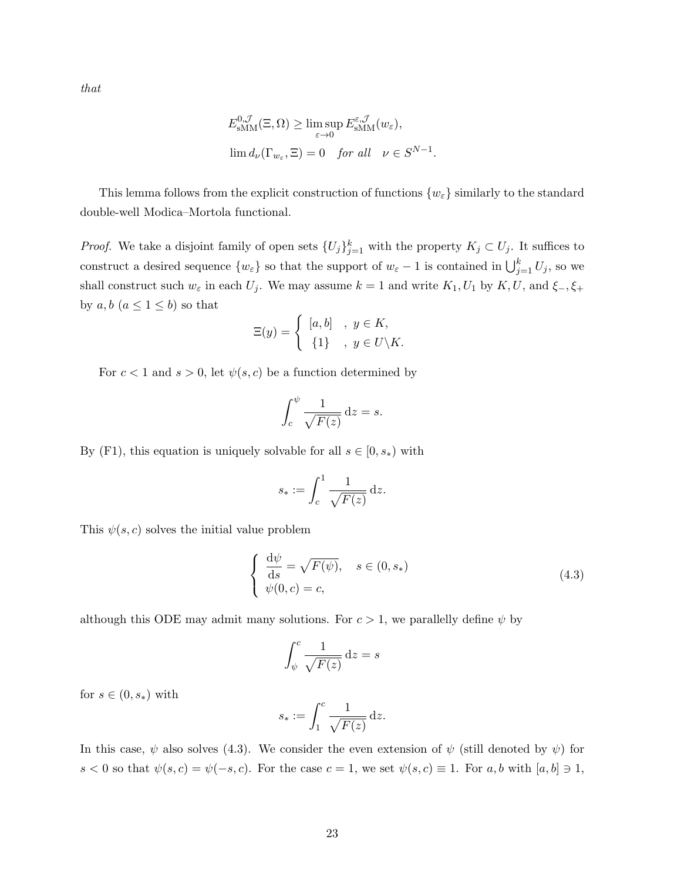that

$$
E_{\text{sMM}}^{0,\mathcal{J}}(\Xi,\Omega) \ge \limsup_{\varepsilon \to 0} E_{\text{sMM}}^{\varepsilon,\mathcal{J}}(w_{\varepsilon}),
$$
  

$$
\lim d_{\nu}(\Gamma_{w_{\varepsilon}},\Xi) = 0 \quad \text{for all} \quad \nu \in S^{N-1}.
$$

This lemma follows from the explicit construction of functions  $\{w_{\varepsilon}\}\$  similarly to the standard double-well Modica–Mortola functional.

*Proof.* We take a disjoint family of open sets  $\{U_j\}_{j=1}^k$  with the property  $K_j \subset U_j$ . It suffices to construct a desired sequence  $\{w_{\varepsilon}\}\$  so that the support of  $w_{\varepsilon}-1$  is contained in  $\bigcup_{j=1}^{k} U_j$ , so we shall construct such  $w_{\varepsilon}$  in each  $U_j$ . We may assume  $k = 1$  and write  $K_1, U_1$  by  $K, U$ , and  $\xi_-, \xi_+$ by  $a, b \ (a \leq 1 \leq b)$  so that

$$
\Xi(y) = \begin{cases} [a, b] & , y \in K, \\ \{1\} & , y \in U \backslash K. \end{cases}
$$

For  $c < 1$  and  $s > 0$ , let  $\psi(s, c)$  be a function determined by

$$
\int_c^{\psi} \frac{1}{\sqrt{F(z)}} \, \mathrm{d}z = s.
$$

By (F1), this equation is uniquely solvable for all  $s \in [0, s_*)$  with

$$
s_* := \int_c^1 \frac{1}{\sqrt{F(z)}} \, \mathrm{d}z.
$$

This  $\psi(s, c)$  solves the initial value problem

$$
\begin{cases}\n\frac{\mathrm{d}\psi}{\mathrm{d}s} = \sqrt{F(\psi)}, & s \in (0, s_*) \\
\psi(0, c) = c,\n\end{cases}
$$
\n(4.3)

although this ODE may admit many solutions. For  $c > 1$ , we parallelly define  $\psi$  by

$$
\int_{\psi}^{c} \frac{1}{\sqrt{F(z)}} \, \mathrm{d}z = s
$$

for  $s \in (0, s_*)$  with

$$
s_* := \int_1^c \frac{1}{\sqrt{F(z)}} \,\mathrm{d}z.
$$

In this case,  $\psi$  also solves (4.3). We consider the even extension of  $\psi$  (still denoted by  $\psi$ ) for s < 0 so that  $\psi(s, c) = \psi(-s, c)$ . For the case  $c = 1$ , we set  $\psi(s, c) \equiv 1$ . For a, b with  $[a, b] \ni 1$ ,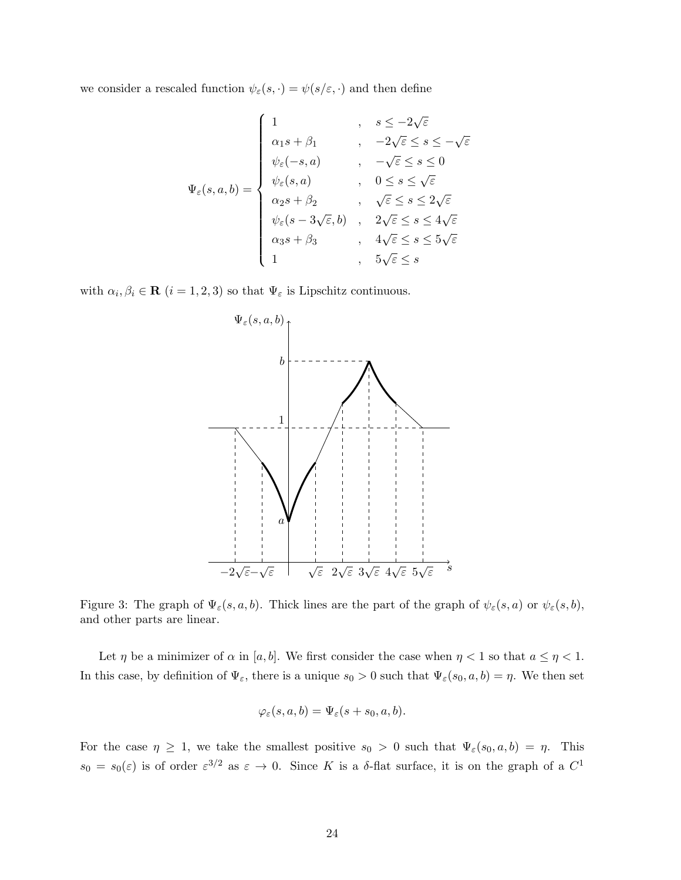we consider a rescaled function  $\psi_{\varepsilon}(s, \cdot) = \psi(s/\varepsilon, \cdot)$  and then define

$$
\Psi_{\varepsilon}(s, a, b) = \begin{cases}\n1 & , s \leq -2\sqrt{\varepsilon} \\
\alpha_1 s + \beta_1 & , -2\sqrt{\varepsilon} \leq s \leq -\sqrt{\varepsilon} \\
\psi_{\varepsilon}(-s, a) & , -\sqrt{\varepsilon} \leq s \leq 0 \\
\psi_{\varepsilon}(s, a) & , 0 \leq s \leq \sqrt{\varepsilon} \\
\alpha_2 s + \beta_2 & , \sqrt{\varepsilon} \leq s \leq 2\sqrt{\varepsilon} \\
\psi_{\varepsilon}(s - 3\sqrt{\varepsilon}, b) & , 2\sqrt{\varepsilon} \leq s \leq 4\sqrt{\varepsilon} \\
\alpha_3 s + \beta_3 & , 4\sqrt{\varepsilon} \leq s \leq 5\sqrt{\varepsilon} \\
1 & , 5\sqrt{\varepsilon} \leq s\n\end{cases}
$$

with  $\alpha_i, \beta_i \in \mathbf{R}$   $(i = 1, 2, 3)$  so that  $\Psi_{\varepsilon}$  is Lipschitz continuous.



Figure 3: The graph of  $\Psi_{\varepsilon}(s, a, b)$ . Thick lines are the part of the graph of  $\psi_{\varepsilon}(s, a)$  or  $\psi_{\varepsilon}(s, b)$ , and other parts are linear.

Let  $\eta$  be a minimizer of  $\alpha$  in [a, b]. We first consider the case when  $\eta < 1$  so that  $a \leq \eta < 1$ . In this case, by definition of  $\Psi_{\varepsilon}$ , there is a unique  $s_0 > 0$  such that  $\Psi_{\varepsilon}(s_0, a, b) = \eta$ . We then set

$$
\varphi_\varepsilon(s,a,b)=\Psi_\varepsilon(s+s_0,a,b).
$$

For the case  $\eta \geq 1$ , we take the smallest positive  $s_0 > 0$  such that  $\Psi_{\varepsilon}(s_0, a, b) = \eta$ . This  $s_0 = s_0(\varepsilon)$  is of order  $\varepsilon^{3/2}$  as  $\varepsilon \to 0$ . Since K is a  $\delta$ -flat surface, it is on the graph of a  $C^1$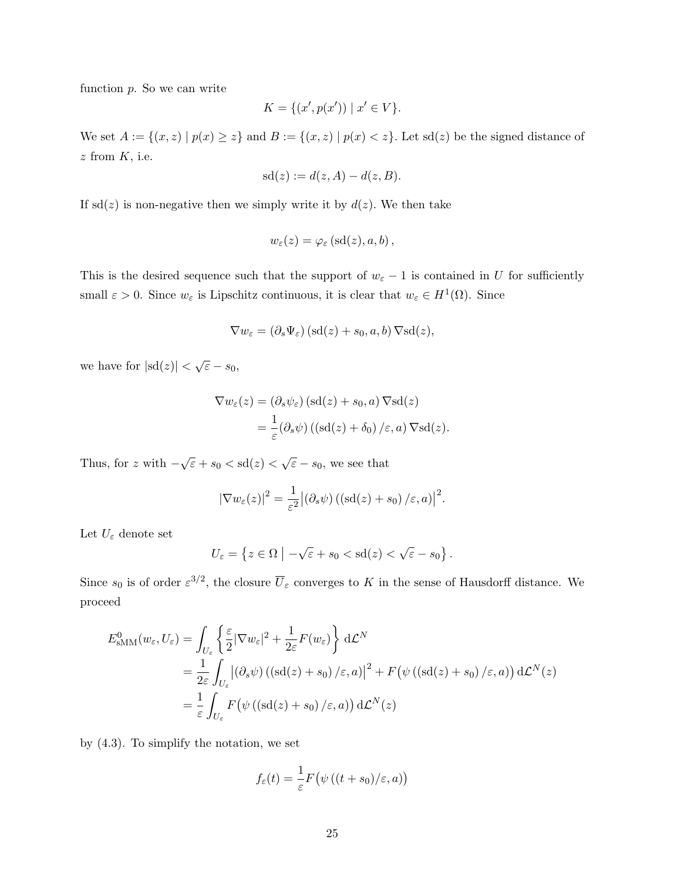function  $p$ . So we can write

$$
K = \{ (x', p(x')) \mid x' \in V \}.
$$

We set  $A := \{(x, z) | p(x) \geq z\}$  and  $B := \{(x, z) | p(x) < z\}$ . Let sd(z) be the signed distance of  $z$  from  $K$ , i.e.

$$
sd(z) := d(z, A) - d(z, B).
$$

If sd(z) is non-negative then we simply write it by  $d(z)$ . We then take

$$
w_{\varepsilon}(z) = \varphi_{\varepsilon}(\mathrm{sd}(z), a, b),
$$

This is the desired sequence such that the support of  $w_{\varepsilon} - 1$  is contained in U for sufficiently small  $\varepsilon > 0$ . Since  $w_{\varepsilon}$  is Lipschitz continuous, it is clear that  $w_{\varepsilon} \in H^1(\Omega)$ . Since

$$
\nabla w_{\varepsilon} = (\partial_s \Psi_{\varepsilon}) (\text{sd}(z) + s_0, a, b) \nabla \text{sd}(z),
$$

we have for  $|\text{sd}(z)| < \sqrt{\varepsilon} - s_0$ ,

$$
\nabla w_{\varepsilon}(z) = (\partial_s \psi_{\varepsilon}) (\text{sd}(z) + s_0, a) \nabla \text{sd}(z)
$$
  
= 
$$
\frac{1}{\varepsilon} (\partial_s \psi) ((\text{sd}(z) + \delta_0) / \varepsilon, a) \nabla \text{sd}(z).
$$

Thus, for z with  $-\sqrt{\varepsilon} + s_0 <$  sd $(z) < \sqrt{\varepsilon} - s_0$ , we see that

$$
|\nabla w_{\varepsilon}(z)|^{2} = \frac{1}{\varepsilon^{2}} |(\partial_{s}\psi) ((\text{sd}(z) + s_{0}) / \varepsilon, a)|^{2}.
$$

Let  $U_\varepsilon$  denote set

$$
U_{\varepsilon} = \left\{ z \in \Omega \mid -\sqrt{\varepsilon} + s_0 < \text{sd}(z) < \sqrt{\varepsilon} - s_0 \right\}.
$$

Since  $s_0$  is of order  $\varepsilon^{3/2}$ , the closure  $\overline{U}_{\varepsilon}$  converges to K in the sense of Hausdorff distance. We proceed

$$
E_{\text{sMM}}^{0}(w_{\varepsilon},U_{\varepsilon}) = \int_{U_{\varepsilon}} \left\{ \frac{\varepsilon}{2} |\nabla w_{\varepsilon}|^{2} + \frac{1}{2\varepsilon} F(w_{\varepsilon}) \right\} d\mathcal{L}^{N}
$$
  
=  $\frac{1}{2\varepsilon} \int_{U_{\varepsilon}} |(\partial_{s}\psi) \left( (\text{sd}(z) + s_{0}) / \varepsilon, a \right) |^{2} + F(\psi \left( (\text{sd}(z) + s_{0}) / \varepsilon, a \right)) d\mathcal{L}^{N}(z)$   
=  $\frac{1}{\varepsilon} \int_{U_{\varepsilon}} F(\psi \left( (\text{sd}(z) + s_{0}) / \varepsilon, a \right)) d\mathcal{L}^{N}(z)$ 

by (4.3). To simplify the notation, we set

$$
f_{\varepsilon}(t) = \frac{1}{\varepsilon} F(\psi((t+s_0)/\varepsilon, a))
$$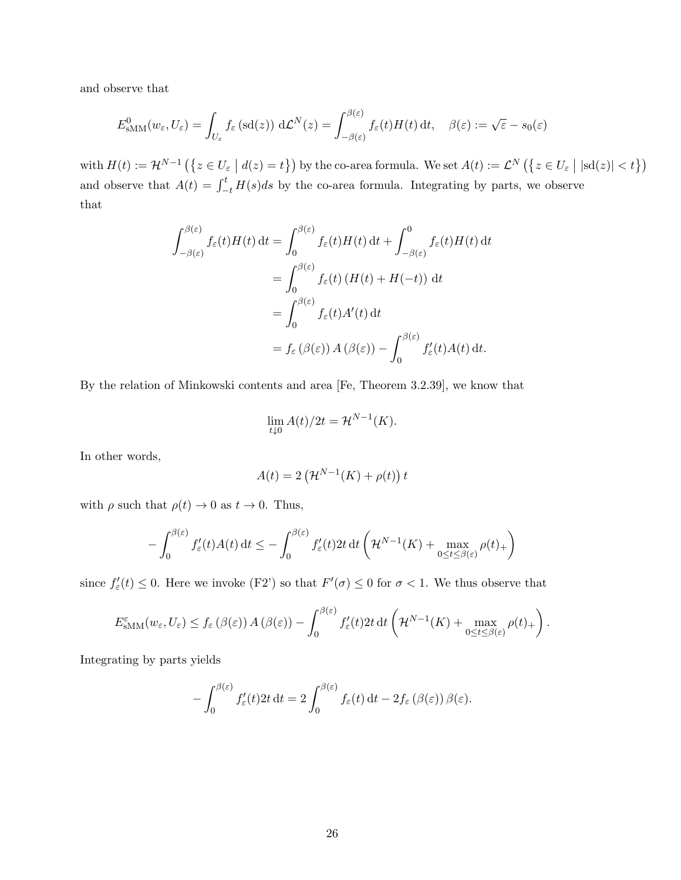and observe that

$$
E_{\text{sMM}}^0(w_{\varepsilon}, U_{\varepsilon}) = \int_{U_{\varepsilon}} f_{\varepsilon}(\text{sd}(z)) \, d\mathcal{L}^N(z) = \int_{-\beta(\varepsilon)}^{\beta(\varepsilon)} f_{\varepsilon}(t) H(t) \, dt, \quad \beta(\varepsilon) := \sqrt{\varepsilon} - s_0(\varepsilon)
$$

with  $H(t) := \mathcal{H}^{N-1}(\{z \in U_{\varepsilon} \mid d(z) = t\})$  by the co-area formula. We set  $A(t) := \mathcal{L}^N(\{z \in U_{\varepsilon} \mid |\mathrm{sd}(z)| < t\})$ and observe that  $A(t) = \int_{-t}^{t} H(s)ds$  by the co-area formula. Integrating by parts, we observe that

$$
\int_{-\beta(\varepsilon)}^{\beta(\varepsilon)} f_{\varepsilon}(t)H(t) dt = \int_{0}^{\beta(\varepsilon)} f_{\varepsilon}(t)H(t) dt + \int_{-\beta(\varepsilon)}^{0} f_{\varepsilon}(t)H(t) dt
$$
  

$$
= \int_{0}^{\beta(\varepsilon)} f_{\varepsilon}(t) (H(t) + H(-t)) dt
$$
  

$$
= \int_{0}^{\beta(\varepsilon)} f_{\varepsilon}(t)A'(t) dt
$$
  

$$
= f_{\varepsilon}(\beta(\varepsilon)) A(\beta(\varepsilon)) - \int_{0}^{\beta(\varepsilon)} f'_{\varepsilon}(t)A(t) dt.
$$

By the relation of Minkowski contents and area [Fe, Theorem 3.2.39], we know that

$$
\lim_{t \downarrow 0} A(t)/2t = \mathcal{H}^{N-1}(K).
$$

In other words,

$$
A(t) = 2\left(\mathcal{H}^{N-1}(K) + \rho(t)\right)t
$$

with  $\rho$  such that  $\rho(t) \to 0$  as  $t \to 0$ . Thus,

$$
-\int_0^{\beta(\varepsilon)} f_{\varepsilon}'(t)A(t) dt \leq -\int_0^{\beta(\varepsilon)} f_{\varepsilon}'(t)2t dt \left(\mathcal{H}^{N-1}(K) + \max_{0 \leq t \leq \beta(\varepsilon)} \rho(t) + \right)
$$

since  $f'_{\varepsilon}(t) \leq 0$ . Here we invoke (F2') so that  $F'(\sigma) \leq 0$  for  $\sigma < 1$ . We thus observe that

$$
E_{\text{sMM}}^{\varepsilon}(w_{\varepsilon},U_{\varepsilon}) \leq f_{\varepsilon}\left(\beta(\varepsilon)\right)A\left(\beta(\varepsilon)\right) - \int_{0}^{\beta(\varepsilon)} f_{\varepsilon}'(t)2t \, \mathrm{d}t \left(\mathcal{H}^{N-1}(K) + \max_{0 \leq t \leq \beta(\varepsilon)} \rho(t) + \right).
$$

Integrating by parts yields

$$
-\int_0^{\beta(\varepsilon)} f_{\varepsilon}'(t) 2t dt = 2 \int_0^{\beta(\varepsilon)} f_{\varepsilon}(t) dt - 2f_{\varepsilon}(\beta(\varepsilon)) \beta(\varepsilon).
$$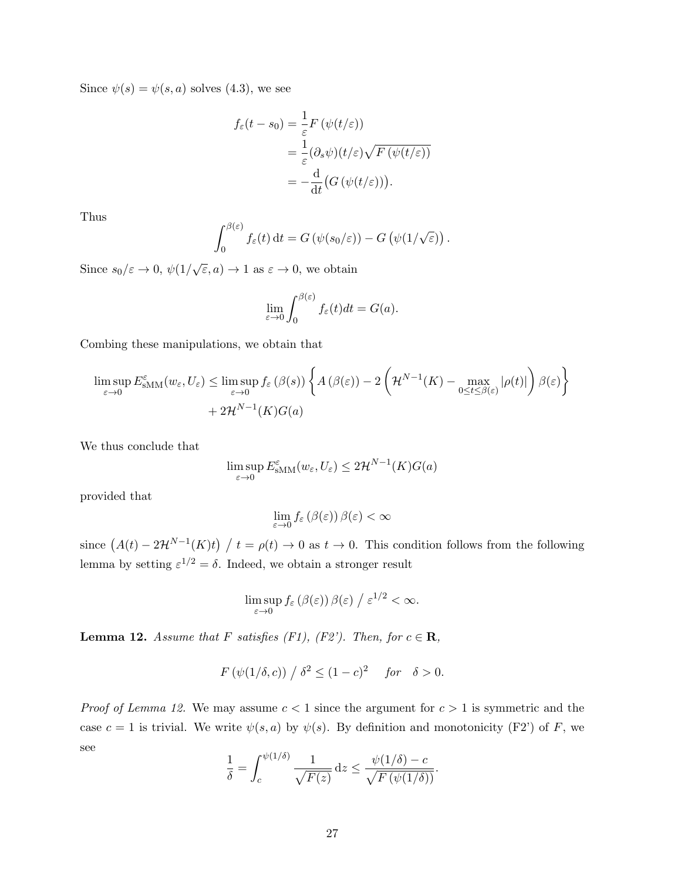Since  $\psi(s) = \psi(s, a)$  solves (4.3), we see

$$
f_{\varepsilon}(t - s_0) = \frac{1}{\varepsilon} F(\psi(t/\varepsilon))
$$
  
= 
$$
\frac{1}{\varepsilon} (\partial_s \psi)(t/\varepsilon) \sqrt{F(\psi(t/\varepsilon))}
$$
  
= 
$$
-\frac{d}{dt} (G(\psi(t/\varepsilon))).
$$

Thus

$$
\int_0^{\beta(\varepsilon)} f_{\varepsilon}(t) dt = G(\psi(s_0/\varepsilon)) - G(\psi(1/\sqrt{\varepsilon})) .
$$

Since  $s_0/\varepsilon \to 0$ ,  $\psi(1/\sqrt{\varepsilon}, a) \to 1$  as  $\varepsilon \to 0$ , we obtain

$$
\lim_{\varepsilon \to 0} \int_0^{\beta(\varepsilon)} f_{\varepsilon}(t) dt = G(a).
$$

Combing these manipulations, we obtain that

$$
\limsup_{\varepsilon \to 0} E_{\text{sMM}}^{\varepsilon}(w_{\varepsilon}, U_{\varepsilon}) \leq \limsup_{\varepsilon \to 0} f_{\varepsilon}(\beta(s)) \left\{ A(\beta(\varepsilon)) - 2 \left( \mathcal{H}^{N-1}(K) - \max_{0 \leq t \leq \beta(\varepsilon)} |\rho(t)| \right) \beta(\varepsilon) \right\} + 2\mathcal{H}^{N-1}(K)G(a)
$$

We thus conclude that

$$
\limsup_{\varepsilon \to 0} E_{\text{sMM}}^{\varepsilon}(w_{\varepsilon}, U_{\varepsilon}) \leq 2\mathcal{H}^{N-1}(K)G(a)
$$

provided that

$$
\lim_{\varepsilon \to 0} f_{\varepsilon} \left( \beta(\varepsilon) \right) \beta(\varepsilon) < \infty
$$

since  $(A(t) - 2\mathcal{H}^{N-1}(K)t) / t = \rho(t) \to 0$  as  $t \to 0$ . This condition follows from the following lemma by setting  $\varepsilon^{1/2} = \delta$ . Indeed, we obtain a stronger result

$$
\limsup_{\varepsilon \to 0} f_{\varepsilon}(\beta(\varepsilon)) \beta(\varepsilon) / \varepsilon^{1/2} < \infty.
$$

**Lemma 12.** Assume that F satisfies (F1), (F2'). Then, for  $c \in \mathbb{R}$ ,

$$
F(\psi(1/\delta,c)) / \delta^2 \le (1-c)^2 \quad \text{for} \quad \delta > 0.
$$

*Proof of Lemma 12.* We may assume  $c < 1$  since the argument for  $c > 1$  is symmetric and the case  $c = 1$  is trivial. We write  $\psi(s, a)$  by  $\psi(s)$ . By definition and monotonicity (F2') of F, we see

$$
\frac{1}{\delta} = \int_{c}^{\psi(1/\delta)} \frac{1}{\sqrt{F(z)}} dz \le \frac{\psi(1/\delta) - c}{\sqrt{F(\psi(1/\delta))}}.
$$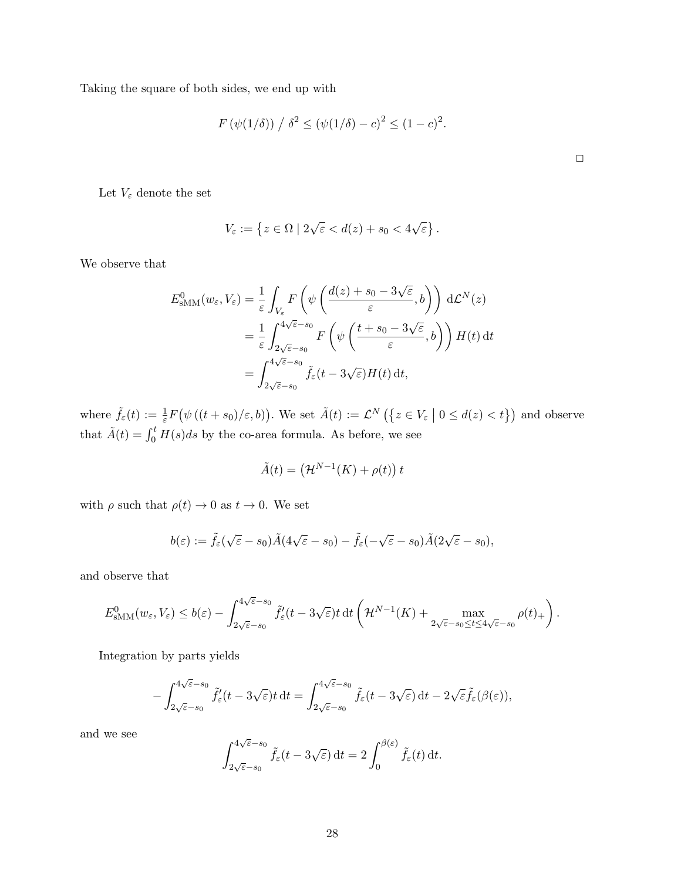Taking the square of both sides, we end up with

$$
F(\psi(1/\delta)) / \delta^2 \le (\psi(1/\delta) - c)^2 \le (1 - c)^2.
$$

Let  $V_\varepsilon$  denote the set

$$
V_{\varepsilon} := \left\{ z \in \Omega \mid 2\sqrt{\varepsilon} < d(z) + s_0 < 4\sqrt{\varepsilon} \right\}.
$$

We observe that

$$
E_{\text{sMM}}^{0}(w_{\varepsilon}, V_{\varepsilon}) = \frac{1}{\varepsilon} \int_{V_{\varepsilon}} F\left(\psi\left(\frac{d(z) + s_{0} - 3\sqrt{\varepsilon}}{\varepsilon}, b\right)\right) d\mathcal{L}^{N}(z)
$$
  

$$
= \frac{1}{\varepsilon} \int_{2\sqrt{\varepsilon} - s_{0}}^{4\sqrt{\varepsilon} - s_{0}} F\left(\psi\left(\frac{t + s_{0} - 3\sqrt{\varepsilon}}{\varepsilon}, b\right)\right) H(t) dt
$$
  

$$
= \int_{2\sqrt{\varepsilon} - s_{0}}^{4\sqrt{\varepsilon} - s_{0}} \tilde{f}_{\varepsilon}(t - 3\sqrt{\varepsilon}) H(t) dt,
$$

where  $\tilde{f}_{\varepsilon}(t) := \frac{1}{\varepsilon} F(\psi((t+s_0)/\varepsilon, b))$ . We set  $\tilde{A}(t) := \mathcal{L}^N(\{z \in V_{\varepsilon} \mid 0 \leq d(z) < t\})$  and observe that  $\tilde{A}(t) = \int_0^t H(s)ds$  by the co-area formula. As before, we see

$$
\tilde{A}(t) = (\mathcal{H}^{N-1}(K) + \rho(t)) t
$$

with  $\rho$  such that  $\rho(t) \to 0$  as  $t \to 0$ . We set

$$
b(\varepsilon) := \tilde{f}_{\varepsilon}(\sqrt{\varepsilon} - s_0)\tilde{A}(4\sqrt{\varepsilon} - s_0) - \tilde{f}_{\varepsilon}(-\sqrt{\varepsilon} - s_0)\tilde{A}(2\sqrt{\varepsilon} - s_0),
$$

and observe that

$$
E^0_{\text{SMM}}(w_{\varepsilon}, V_{\varepsilon}) \le b({\varepsilon}) - \int_{2\sqrt{{\varepsilon}}-s_0}^{4\sqrt{{\varepsilon}}-s_0} \tilde{f}'_{\varepsilon}(t-3\sqrt{{\varepsilon}})t \,\mathrm{d} t \left( \mathcal{H}^{N-1}(K) + \max_{2\sqrt{{\varepsilon}}-s_0 \le t \le 4\sqrt{{\varepsilon}}-s_0} \rho(t)_+ \right).
$$

Integration by parts yields

$$
-\int_{2\sqrt{\varepsilon}-s_0}^{4\sqrt{\varepsilon}-s_0} \tilde{f}_{\varepsilon}'(t-3\sqrt{\varepsilon})t \,\mathrm{d} t = \int_{2\sqrt{\varepsilon}-s_0}^{4\sqrt{\varepsilon}-s_0} \tilde{f}_{\varepsilon}(t-3\sqrt{\varepsilon}) \,\mathrm{d} t - 2\sqrt{\varepsilon}\tilde{f}_{\varepsilon}(\beta(\varepsilon)),
$$

and we see

$$
\int_{2\sqrt{\varepsilon}-s_0}^{4\sqrt{\varepsilon}-s_0} \tilde{f}_{\varepsilon}(t-3\sqrt{\varepsilon}) dt = 2 \int_0^{\beta(\varepsilon)} \tilde{f}_{\varepsilon}(t) dt.
$$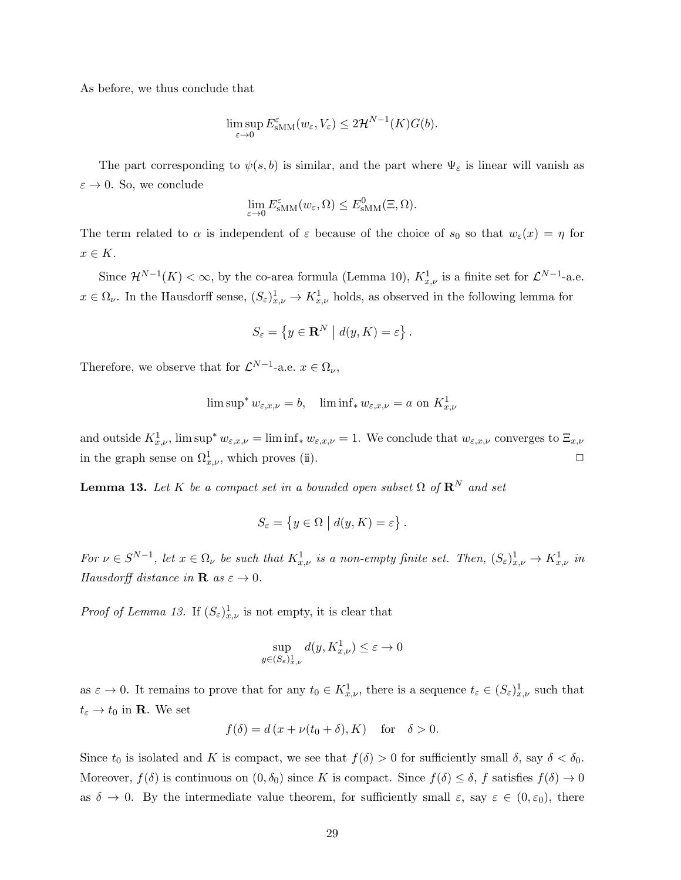As before, we thus conclude that

$$
\limsup_{\varepsilon \to 0} E_{\text{SMM}}^{\varepsilon}(w_{\varepsilon}, V_{\varepsilon}) \leq 2\mathcal{H}^{N-1}(K)G(b).
$$

The part corresponding to  $\psi(s, b)$  is similar, and the part where  $\Psi_{\varepsilon}$  is linear will vanish as  $\varepsilon \to 0$ . So, we conclude

$$
\lim_{\varepsilon \to 0} E_{\text{sMM}}^{\varepsilon}(w_{\varepsilon}, \Omega) \le E_{\text{sMM}}^{0}(\Xi, \Omega).
$$

The term related to  $\alpha$  is independent of  $\varepsilon$  because of the choice of  $s_0$  so that  $w_{\varepsilon}(x) = \eta$  for  $x \in K$ .

Since  $\mathcal{H}^{N-1}(K) < \infty$ , by the co-area formula (Lemma 10),  $K^1_{x,\nu}$  is a finite set for  $\mathcal{L}^{N-1}$ -a.e.  $x \in \Omega_{\nu}$ . In the Hausdorff sense,  $(S_{\varepsilon})_{x,\nu}^1 \to K_{x,\nu}^1$  holds, as observed in the following lemma for

$$
S_{\varepsilon} = \left\{ y \in \mathbf{R}^{N} \mid d(y, K) = \varepsilon \right\}.
$$

Therefore, we observe that for  $\mathcal{L}^{N-1}$ -a.e.  $x \in \Omega_{\nu}$ ,

$$
\limsup^* w_{\varepsilon,x,\nu} = b, \quad \liminf_* w_{\varepsilon,x,\nu} = a \text{ on } K^1_{x,\nu}
$$

and outside  $K_{x,\nu}^1$ , lim sup<sup>\*</sup>  $w_{\varepsilon,x,\nu} = \liminf_* w_{\varepsilon,x,\nu} = 1$ . We conclude that  $w_{\varepsilon,x,\nu}$  converges to  $\Xi_{x,\nu}$ in the graph sense on  $\Omega^1_{x,\nu}$ , which proves (ii).

**Lemma 13.** Let K be a compact set in a bounded open subset  $\Omega$  of  $\mathbb{R}^N$  and set

$$
S_{\varepsilon} = \{ y \in \Omega \mid d(y, K) = \varepsilon \}.
$$

For  $\nu \in S^{N-1}$ , let  $x \in \Omega_{\nu}$  be such that  $K^1_{x,\nu}$  is a non-empty finite set. Then,  $(S_{\varepsilon})^1_{x,\nu} \to K^1_{x,\nu}$  in Hausdorff distance in **R** as  $\varepsilon \to 0$ .

*Proof of Lemma 13.* If  $(S_{\varepsilon})^1_{x,\nu}$  is not empty, it is clear that

$$
\sup_{y \in (S_{\varepsilon})_{x,\nu}^1} d(y, K_{x,\nu}^1) \le \varepsilon \to 0
$$

as  $\varepsilon \to 0$ . It remains to prove that for any  $t_0 \in K^1_{x,\nu}$ , there is a sequence  $t_{\varepsilon} \in (S_{\varepsilon})^1_{x,\nu}$  such that  $t_{\varepsilon} \to t_0$  in **R**. We set

$$
f(\delta) = d(x + \nu(t_0 + \delta), K) \quad \text{for} \quad \delta > 0.
$$

Since  $t_0$  is isolated and K is compact, we see that  $f(\delta) > 0$  for sufficiently small  $\delta$ , say  $\delta < \delta_0$ . Moreover,  $f(\delta)$  is continuous on  $(0, \delta_0)$  since K is compact. Since  $f(\delta) \leq \delta$ , f satisfies  $f(\delta) \to 0$ as  $\delta \to 0$ . By the intermediate value theorem, for sufficiently small  $\varepsilon$ , say  $\varepsilon \in (0, \varepsilon_0)$ , there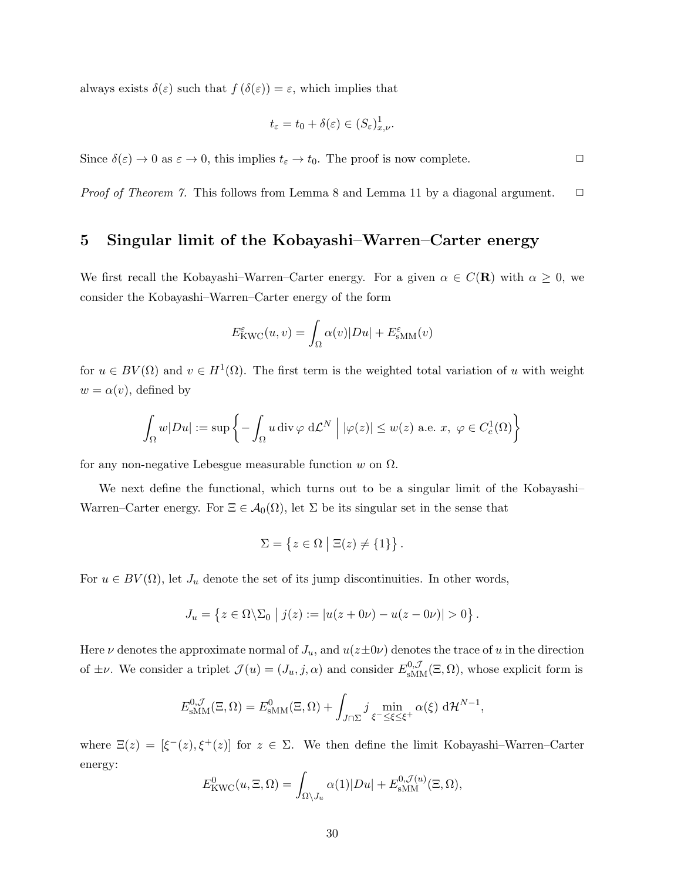always exists  $\delta(\varepsilon)$  such that  $f(\delta(\varepsilon)) = \varepsilon$ , which implies that

$$
t_{\varepsilon} = t_0 + \delta(\varepsilon) \in (S_{\varepsilon})^1_{x,\nu}.
$$

Since  $\delta(\varepsilon) \to 0$  as  $\varepsilon \to 0$ , this implies  $t_{\varepsilon} \to t_0$ . The proof is now complete.

*Proof of Theorem 7.* This follows from Lemma 8 and Lemma 11 by a diagonal argument.  $\Box$ 

## 5 Singular limit of the Kobayashi–Warren–Carter energy

We first recall the Kobayashi–Warren–Carter energy. For a given  $\alpha \in C(\mathbf{R})$  with  $\alpha \geq 0$ , we consider the Kobayashi–Warren–Carter energy of the form

$$
E_{\text{KWC}}^{\varepsilon}(u,v) = \int_{\Omega} \alpha(v) |Du| + E_{\text{sMM}}^{\varepsilon}(v)
$$

for  $u \in BV(\Omega)$  and  $v \in H^1(\Omega)$ . The first term is the weighted total variation of u with weight  $w = \alpha(v)$ , defined by

$$
\int_{\Omega} w|Du| := \sup \left\{ - \int_{\Omega} u \operatorname{div} \varphi \, d\mathcal{L}^{N} \mid |\varphi(z)| \le w(z) \text{ a.e. } x, \ \varphi \in C_{c}^{1}(\Omega) \right\}
$$

for any non-negative Lebesgue measurable function w on  $\Omega$ .

We next define the functional, which turns out to be a singular limit of the Kobayashi Warren–Carter energy. For  $\Xi \in \mathcal{A}_0(\Omega)$ , let  $\Sigma$  be its singular set in the sense that

$$
\Sigma = \{ z \in \Omega \mid \Xi(z) \neq \{1\} \}.
$$

For  $u \in BV(\Omega)$ , let  $J_u$  denote the set of its jump discontinuities. In other words,

$$
J_u = \{ z \in \Omega \setminus \Sigma_0 \mid j(z) := |u(z + 0\nu) - u(z - 0\nu)| > 0 \}.
$$

Here  $\nu$  denotes the approximate normal of  $J_u$ , and  $u(z \pm 0\nu)$  denotes the trace of u in the direction of  $\pm \nu$ . We consider a triplet  $\mathcal{J}(u) = (J_u, j, \alpha)$  and consider  $E_{\text{sMM}}^{0,\mathcal{J}}(\Xi, \Omega)$ , whose explicit form is

$$
E_{\text{sMM}}^{0,\mathcal{J}}(\Xi,\Omega) = E_{\text{sMM}}^{0}(\Xi,\Omega) + \int_{J\cap\Sigma} j \min_{\xi^{-} \leq \xi \leq \xi^{+}} \alpha(\xi) d\mathcal{H}^{N-1},
$$

where  $\Xi(z) = [\xi^-(z), \xi^+(z)]$  for  $z \in \Sigma$ . We then define the limit Kobayashi–Warren–Carter energy:

$$
E_{\text{KWC}}^0(u,\Xi,\Omega) = \int_{\Omega \setminus J_u} \alpha(1)|Du| + E_{\text{SMM}}^{0,\mathcal{J}(u)}(\Xi,\Omega),
$$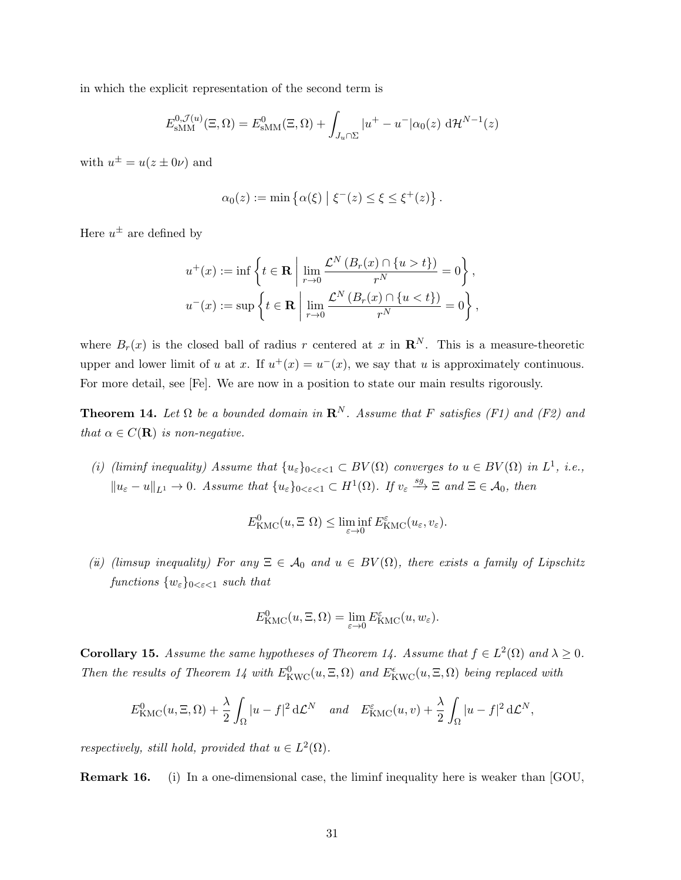in which the explicit representation of the second term is

$$
E_{\text{sMM}}^{0,\mathcal{J}(u)}(\Xi,\Omega) = E_{\text{sMM}}^{0}(\Xi,\Omega) + \int_{J_u \cap \Sigma} |u^+ - u^-| \alpha_0(z) \, d\mathcal{H}^{N-1}(z)
$$

with  $u^{\pm} = u(z \pm 0\nu)$  and

$$
\alpha_0(z) := \min \left\{ \alpha(\xi) \mid \xi^-(z) \leq \xi \leq \xi^+(z) \right\}.
$$

Here  $u^{\pm}$  are defined by

$$
u^+(x) := \inf \left\{ t \in \mathbf{R} \mid \lim_{r \to 0} \frac{\mathcal{L}^N(B_r(x) \cap \{u > t\})}{r^N} = 0 \right\},\,
$$
  

$$
u^-(x) := \sup \left\{ t \in \mathbf{R} \mid \lim_{r \to 0} \frac{\mathcal{L}^N(B_r(x) \cap \{u < t\})}{r^N} = 0 \right\},\,
$$

where  $B_r(x)$  is the closed ball of radius r centered at x in  $\mathbb{R}^N$ . This is a measure-theoretic upper and lower limit of u at x. If  $u^+(x) = u^-(x)$ , we say that u is approximately continuous. For more detail, see [Fe]. We are now in a position to state our main results rigorously.

**Theorem 14.** Let  $\Omega$  be a bounded domain in  $\mathbb{R}^N$ . Assume that F satisfies (F1) and (F2) and that  $\alpha \in C(\mathbf{R})$  is non-negative.

(i) (liminf inequality) Assume that  $\{u_{\varepsilon}\}_{0<\varepsilon<1} \subset BV(\Omega)$  converges to  $u \in BV(\Omega)$  in  $L^1$ , i.e.,  $||u_{\varepsilon} - u||_{L^{1}} \to 0$ . Assume that  $\{u_{\varepsilon}\}_{0 \leq \varepsilon \leq 1} \subset H^{1}(\Omega)$ . If  $v_{\varepsilon} \stackrel{sg}{\longrightarrow} \Xi$  and  $\Xi \in \mathcal{A}_{0}$ , then

$$
E_{\text{KMC}}^0(u,\Xi\;\Omega) \leq \liminf_{\varepsilon \to 0} E_{\text{KMC}}^{\varepsilon}(u_{\varepsilon},v_{\varepsilon}).
$$

(ii) (limsup inequality) For any  $\Xi \in A_0$  and  $u \in BV(\Omega)$ , there exists a family of Lipschitz functions  $\{w_{\varepsilon}\}_{0 \leq \varepsilon \leq 1}$  such that

$$
E_{\text{KMC}}^0(u,\Xi,\Omega)=\lim_{\varepsilon\to 0}E_{\text{KMC}}^{\varepsilon}(u,w_{\varepsilon}).
$$

**Corollary 15.** Assume the same hypotheses of Theorem 14. Assume that  $f \in L^2(\Omega)$  and  $\lambda \geq 0$ . Then the results of Theorem 14 with  $E^0_{\text{KWC}}(u, \Xi, \Omega)$  and  $E^{\epsilon}_{\text{KWC}}(u, \Xi, \Omega)$  being replaced with

$$
E_{\text{KMC}}^0(u,\Xi,\Omega) + \frac{\lambda}{2} \int_{\Omega} |u - f|^2 d\mathcal{L}^N \quad \text{and} \quad E_{\text{KMC}}^{\varepsilon}(u,v) + \frac{\lambda}{2} \int_{\Omega} |u - f|^2 d\mathcal{L}^N,
$$

respectively, still hold, provided that  $u \in L^2(\Omega)$ .

Remark 16. (i) In a one-dimensional case, the liminf inequality here is weaker than [GOU,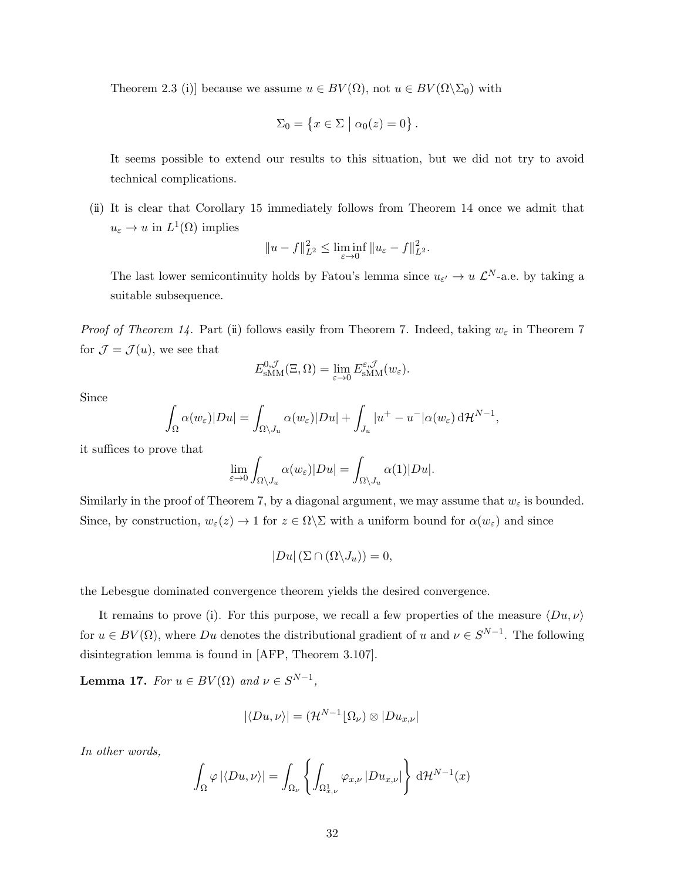Theorem 2.3 (i)] because we assume  $u \in BV(\Omega)$ , not  $u \in BV(\Omega \backslash \Sigma_0)$  with

$$
\Sigma_0 = \left\{ x \in \Sigma \mid \alpha_0(z) = 0 \right\}.
$$

It seems possible to extend our results to this situation, but we did not try to avoid technical complications.

(ii) It is clear that Corollary 15 immediately follows from Theorem 14 once we admit that  $u_{\varepsilon} \to u$  in  $L^1(\Omega)$  implies

$$
||u - f||_{L^2}^2 \le \liminf_{\varepsilon \to 0} ||u_{\varepsilon} - f||_{L^2}^2.
$$

The last lower semicontinuity holds by Fatou's lemma since  $u_{\varepsilon'} \to u \mathcal{L}^N$ -a.e. by taking a suitable subsequence.

*Proof of Theorem 14.* Part (ii) follows easily from Theorem 7. Indeed, taking  $w_{\varepsilon}$  in Theorem 7 for  $\mathcal{J} = \mathcal{J}(u)$ , we see that

$$
E_{\text{sMM}}^{0,\mathcal{J}}(\Xi,\Omega)=\lim_{\varepsilon\to 0}E_{\text{sMM}}^{\varepsilon,\mathcal{J}}(w_{\varepsilon}).
$$

Since

$$
\int_{\Omega} \alpha(w_{\varepsilon}) |Du| = \int_{\Omega \setminus J_u} \alpha(w_{\varepsilon}) |Du| + \int_{J_u} |u^+ - u^-| \alpha(w_{\varepsilon}) d\mathcal{H}^{N-1},
$$

it suffices to prove that

$$
\lim_{\varepsilon \to 0} \int_{\Omega \setminus J_u} \alpha(w_{\varepsilon}) |Du| = \int_{\Omega \setminus J_u} \alpha(1) |Du|.
$$

Similarly in the proof of Theorem 7, by a diagonal argument, we may assume that  $w_{\varepsilon}$  is bounded. Since, by construction,  $w_{\varepsilon}(z) \to 1$  for  $z \in \Omega \backslash \Sigma$  with a uniform bound for  $\alpha(w_{\varepsilon})$  and since

$$
|Du|(\Sigma \cap (\Omega \backslash J_u))=0,
$$

the Lebesgue dominated convergence theorem yields the desired convergence.

It remains to prove (i). For this purpose, we recall a few properties of the measure  $\langle Du, \nu \rangle$ for  $u \in BV(\Omega)$ , where Du denotes the distributional gradient of u and  $\nu \in S^{N-1}$ . The following disintegration lemma is found in [AFP, Theorem 3.107].

**Lemma 17.** For  $u \in BV(\Omega)$  and  $v \in S^{N-1}$ ,

$$
|\langle Du, \nu \rangle| = (\mathcal{H}^{N-1} \lfloor \Omega_{\nu}) \otimes |Du_{x,\nu}|
$$

In other words,

$$
\int_{\Omega} \varphi |\langle Du, \nu \rangle| = \int_{\Omega_{\nu}} \left\{ \int_{\Omega_{x,\nu}^1} \varphi_{x,\nu} |Du_{x,\nu}| \right\} d\mathcal{H}^{N-1}(x)
$$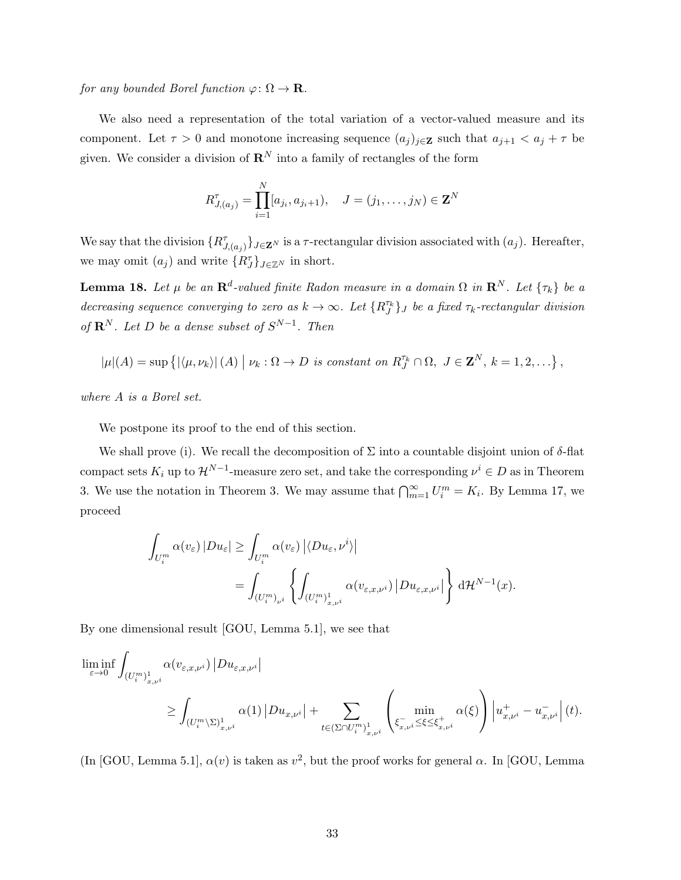for any bounded Borel function  $\varphi \colon \Omega \to \mathbf{R}$ .

We also need a representation of the total variation of a vector-valued measure and its component. Let  $\tau > 0$  and monotone increasing sequence  $(a_j)_{j \in \mathbf{Z}}$  such that  $a_{j+1} < a_j + \tau$  be given. We consider a division of  $\mathbb{R}^N$  into a family of rectangles of the form

$$
R_{J,(a_j)}^{\tau} = \prod_{i=1}^{N} [a_{j_i}, a_{j_i+1}), \quad J = (j_1, \dots, j_N) \in \mathbf{Z}^N
$$

We say that the division  $\{R^\tau_{J,(a_j)}\}_{J\in\mathbf{Z}^N}$  is a  $\tau$ -rectangular division associated with  $(a_j)$ . Hereafter, we may omit  $(a_j)$  and write  ${R_J^{\tau}}_{J \in \mathbb{Z}^N}$  in short.

**Lemma 18.** Let  $\mu$  be an  $\mathbb{R}^d$ -valued finite Radon measure in a domain  $\Omega$  in  $\mathbb{R}^N$ . Let  $\{\tau_k\}$  be a decreasing sequence converging to zero as  $k \to \infty$ . Let  $\{R_J^{\tau_k}\}_J$  be a fixed  $\tau_k$ -rectangular division of  $\mathbf{R}^N$ . Let D be a dense subset of  $S^{N-1}$ . Then

$$
|\mu|(A) = \sup \left\{ |\langle \mu, \nu_k \rangle| \left( A \right) | \nu_k : \Omega \to D \text{ is constant on } R_J^{\tau_k} \cap \Omega, J \in \mathbf{Z}^N, k = 1, 2, \ldots \right\},\
$$

where A is a Borel set.

We postpone its proof to the end of this section.

We shall prove (i). We recall the decomposition of  $\Sigma$  into a countable disjoint union of  $\delta$ -flat compact sets  $K_i$  up to  $\mathcal{H}^{N-1}$ -measure zero set, and take the corresponding  $\nu^i \in D$  as in Theorem 3. We use the notation in Theorem 3. We may assume that  $\bigcap_{m=1}^{\infty} U_i^m = K_i$ . By Lemma 17, we proceed

$$
\int_{U_i^m} \alpha(v_{\varepsilon}) |Du_{\varepsilon}| \ge \int_{U_i^m} \alpha(v_{\varepsilon}) |\langle Du_{\varepsilon}, \nu^i \rangle|
$$
  
= 
$$
\int_{(U_i^m)_{\nu^i}} \left\{ \int_{(U_i^m)_{x,\nu^i}} \alpha(v_{\varepsilon,x,\nu^i}) |Du_{\varepsilon,x,\nu^i}| \right\} d\mathcal{H}^{N-1}(x).
$$

By one dimensional result [GOU, Lemma 5.1], we see that

$$
\begin{split} \liminf_{\varepsilon\to 0} & \int_{\left(U^m_i\right)_{x,\nu^i}^1} \alpha(v_{\varepsilon,x,\nu^i}) \left|Du_{\varepsilon,x,\nu^i}\right| \\ & \qquad \geq \int_{\left(U^m_i\setminus\Sigma\right)_{x,\nu^i}^1} \alpha(1) \left|Du_{x,\nu^i}\right| + \sum_{t\in\left(\Sigma\cap U^m_i\right)_{x,\nu^i}^1} \left(\min_{\substack{\xi_{x,\nu}^-, \xi\leq\xi_{x,\nu^i}^+ \\ \xi_{x,\nu^i}^-\leq\xi\leq\xi_{x,\nu^i}^+}} \alpha(\xi)\right) \left|u_{x,\nu^i}^+ - u_{x,\nu^i}^-\right|(t). \end{split}
$$

(In [GOU, Lemma 5.1],  $\alpha(v)$  is taken as  $v^2$ , but the proof works for general  $\alpha$ . In [GOU, Lemma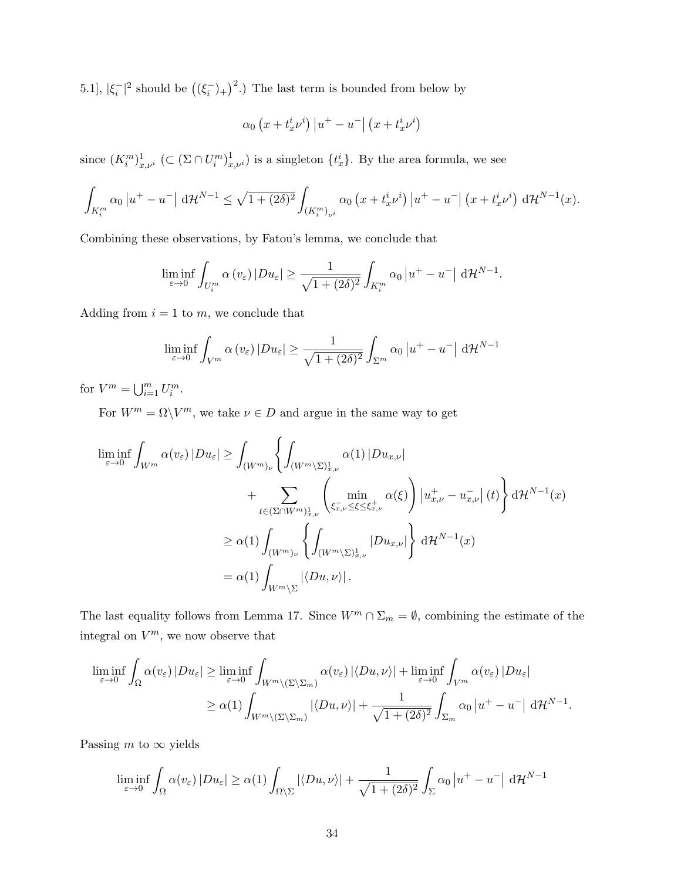5.1],  $|\xi_i^{-}|^2$  should be  $((\xi_i^{-})_{+})^2$ .) The last term is bounded from below by

$$
\alpha_0 \left( x + t_x^i \nu^i \right) \left| u^+ - u^- \right| \left( x + t_x^i \nu^i \right)
$$

since  $(K_i^m)_{x,\nu^i}^1$  ( $\subset (\Sigma \cap U_i^m)_{x,\nu^i}^1$ ) is a singleton  $\{t_x^i\}$ . By the area formula, we see

$$
\int_{K_i^m} \alpha_0 \left| u^+ - u^- \right| \, \mathrm{d} \mathcal{H}^{N-1} \leq \sqrt{1 + (2\delta)^2} \int_{(K_i^m)_{\nu^i}} \alpha_0 \left( x + t_x^i \nu^i \right) \left| u^+ - u^- \right| \left( x + t_x^i \nu^i \right) \, \mathrm{d} \mathcal{H}^{N-1}(x).
$$

Combining these observations, by Fatou's lemma, we conclude that

$$
\liminf_{\varepsilon \to 0} \int_{U_i^m} \alpha(v_\varepsilon) |Du_\varepsilon| \ge \frac{1}{\sqrt{1 + (2\delta)^2}} \int_{K_i^m} \alpha_0 |u^+ - u^-| \, \mathrm{d} \mathcal{H}^{N-1}.
$$

Adding from  $i = 1$  to m, we conclude that

$$
\liminf_{\varepsilon \to 0} \int_{V^m} \alpha(v_{\varepsilon}) |Du_{\varepsilon}| \ge \frac{1}{\sqrt{1 + (2\delta)^2}} \int_{\Sigma^m} \alpha_0 |u^+ - u^-| \, d\mathcal{H}^{N-1}
$$

for  $V^m = \bigcup_{i=1}^m U_i^m$ .

For  $W^m = \Omega \backslash V^m$ , we take  $\nu \in D$  and argue in the same way to get

$$
\begin{split} \liminf_{\varepsilon \to 0} \int_{W^m} \alpha(v_{\varepsilon}) \, |Du_{\varepsilon}| &\geq \int_{(W^m)_{\nu}} \left\{ \int_{(W^m \backslash \Sigma)_{x,\nu}^1} \alpha(1) \, |Du_{x,\nu}| \right. \\ &\quad \left. + \sum_{t \in (\Sigma \cap W^m)_{x,\nu}^1} \left( \min_{\xi_{x,\nu}^-\leq \xi \leq \xi_{x,\nu}^+} \alpha(\xi) \right) \left| u_{x,\nu}^+ - u_{x,\nu}^- \right| (t) \right\} \mathrm{d} \mathcal{H}^{N-1}(x) \\ &\geq \alpha(1) \int_{(W^m)_{\nu}} \left\{ \int_{(W^m \backslash \Sigma)_{x,\nu}^1} |Du_{x,\nu}| \right\} \mathrm{d} \mathcal{H}^{N-1}(x) \\ &= \alpha(1) \int_{W^m \backslash \Sigma} |\langle Du, \nu \rangle| \, . \end{split}
$$

The last equality follows from Lemma 17. Since  $W^m \cap \Sigma_m = \emptyset$ , combining the estimate of the integral on  $V^m$ , we now observe that

$$
\liminf_{\varepsilon \to 0} \int_{\Omega} \alpha(v_{\varepsilon}) |Du_{\varepsilon}| \ge \liminf_{\varepsilon \to 0} \int_{W^{m} \setminus (\Sigma \setminus \Sigma_{m})} \alpha(v_{\varepsilon}) |\langle Du, \nu \rangle| + \liminf_{\varepsilon \to 0} \int_{V^{m}} \alpha(v_{\varepsilon}) |Du_{\varepsilon}|
$$
  
\n
$$
\ge \alpha(1) \int_{W^{m} \setminus (\Sigma \setminus \Sigma_{m})} |\langle Du, \nu \rangle| + \frac{1}{\sqrt{1 + (2\delta)^{2}}} \int_{\Sigma_{m}} \alpha_{0} |u^{+} - u^{-} | d\mathcal{H}^{N-1}.
$$

Passing m to  $\infty$  yields

$$
\liminf_{\varepsilon \to 0} \int_{\Omega} \alpha(v_{\varepsilon}) |Du_{\varepsilon}| \ge \alpha(1) \int_{\Omega \setminus \Sigma} |\langle Du, \nu \rangle| + \frac{1}{\sqrt{1 + (2\delta)^2}} \int_{\Sigma} \alpha_0 |u^+ - u^-| \, d\mathcal{H}^{N-1}
$$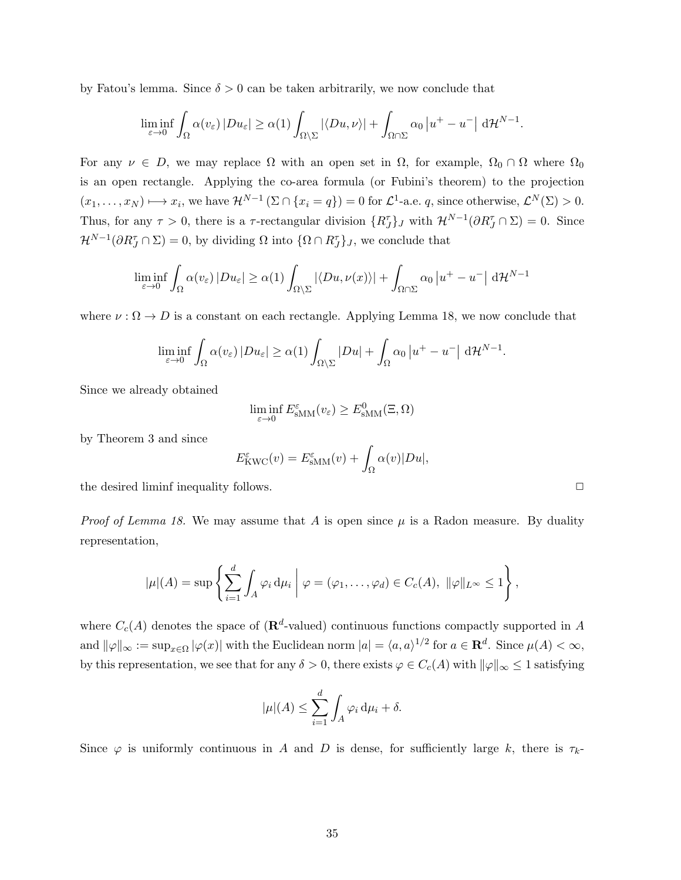by Fatou's lemma. Since  $\delta > 0$  can be taken arbitrarily, we now conclude that

$$
\liminf_{\varepsilon \to 0} \int_{\Omega} \alpha(v_{\varepsilon}) |Du_{\varepsilon}| \ge \alpha(1) \int_{\Omega \setminus \Sigma} |\langle Du, \nu \rangle| + \int_{\Omega \cap \Sigma} \alpha_0 |u^+ - u^-| \, d\mathcal{H}^{N-1}.
$$

For any  $\nu \in D$ , we may replace  $\Omega$  with an open set in  $\Omega$ , for example,  $\Omega_0 \cap \Omega$  where  $\Omega_0$ is an open rectangle. Applying the co-area formula (or Fubini's theorem) to the projection  $(x_1, \ldots, x_N) \mapsto x_i$ , we have  $\mathcal{H}^{N-1}(\Sigma \cap \{x_i = q\}) = 0$  for  $\mathcal{L}^1$ -a.e. q, since otherwise,  $\mathcal{L}^N(\Sigma) > 0$ . Thus, for any  $\tau > 0$ , there is a  $\tau$ -rectangular division  $\{R_J^{\tau}\}\$ , with  $\mathcal{H}^{N-1}(\partial R_J^{\tau} \cap \Sigma) = 0$ . Since  $\mathcal{H}^{N-1}(\partial R_J^{\tau} \cap \Sigma) = 0$ , by dividing  $\Omega$  into  $\{\Omega \cap R_J^{\tau}\}_J$ , we conclude that

$$
\liminf_{\varepsilon \to 0} \int_{\Omega} \alpha(v_{\varepsilon}) |Du_{\varepsilon}| \ge \alpha(1) \int_{\Omega \setminus \Sigma} |\langle Du, \nu(x) \rangle| + \int_{\Omega \cap \Sigma} \alpha_0 |u^+ - u^-| \, d\mathcal{H}^{N-1}
$$

where  $\nu : \Omega \to D$  is a constant on each rectangle. Applying Lemma 18, we now conclude that

$$
\liminf_{\varepsilon \to 0} \int_{\Omega} \alpha(v_{\varepsilon}) |Du_{\varepsilon}| \ge \alpha(1) \int_{\Omega \setminus \Sigma} |Du| + \int_{\Omega} \alpha_0 |u^+ - u^-| \, d\mathcal{H}^{N-1}.
$$

Since we already obtained

$$
\liminf_{\varepsilon \to 0} E_{\text{sMM}}^{\varepsilon}(v_{\varepsilon}) \ge E_{\text{sMM}}^{0}(\Xi, \Omega)
$$

by Theorem 3 and since

$$
E_{\text{KWC}}^{\varepsilon}(v) = E_{\text{sMM}}^{\varepsilon}(v) + \int_{\Omega} \alpha(v) |Du|,
$$

the desired liminf inequality follows.

*Proof of Lemma 18.* We may assume that A is open since  $\mu$  is a Radon measure. By duality representation,

$$
|\mu|(A) = \sup \left\{ \sum_{i=1}^d \int_A \varphi_i \, \mathrm{d}\mu_i \; \middle| \; \varphi = (\varphi_1, \dots, \varphi_d) \in C_c(A), \; ||\varphi||_{L^\infty} \leq 1 \right\},\,
$$

where  $C_c(A)$  denotes the space of  $(\mathbf{R}^d)$ -valued) continuous functions compactly supported in A and  $\|\varphi\|_{\infty} := \sup_{x \in \Omega} |\varphi(x)|$  with the Euclidean norm  $|a| = \langle a, a \rangle^{1/2}$  for  $a \in \mathbf{R}^d$ . Since  $\mu(A) < \infty$ , by this representation, we see that for any  $\delta > 0$ , there exists  $\varphi \in C_c(A)$  with  $\|\varphi\|_{\infty} \leq 1$  satisfying

$$
|\mu|(A) \le \sum_{i=1}^d \int_A \varphi_i \, \mathrm{d}\mu_i + \delta.
$$

Since  $\varphi$  is uniformly continuous in A and D is dense, for sufficiently large k, there is  $\tau_k$ -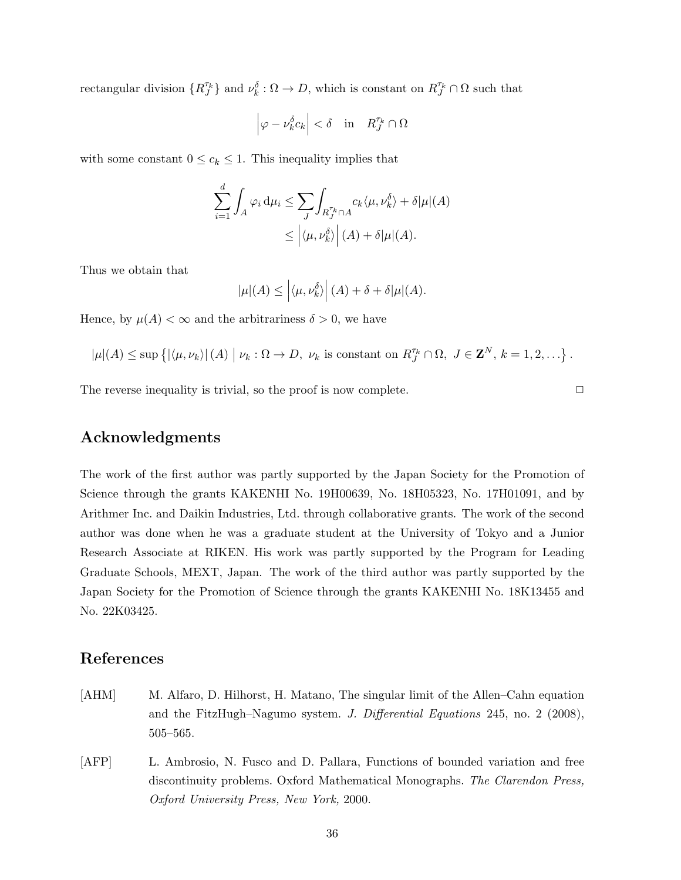rectangular division  $\{R_J^{\tau_k}\}\$  and  $\nu_k^{\delta}:\Omega\to D$ , which is constant on  $R_J^{\tau_k}\cap\Omega$  such that

$$
\left|\varphi-\nu_k^{\delta}c_k\right|<\delta\quad\text{in}\quad R_J^{\tau_k}\cap\Omega
$$

with some constant  $0 \leq c_k \leq 1$ . This inequality implies that

$$
\sum_{i=1}^{d} \int_{A} \varphi_{i} d\mu_{i} \leq \sum_{J} \int_{R_{J}^{\tau_{k}} \cap A} c_{k} \langle \mu, \nu_{k}^{\delta} \rangle + \delta |\mu|(A) \leq \left| \langle \mu, \nu_{k}^{\delta} \rangle \right| (A) + \delta |\mu|(A).
$$

Thus we obtain that

$$
|\mu|(A) \leq \left| \langle \mu, \nu_k^{\delta} \rangle \right| (A) + \delta + \delta |\mu|(A).
$$

Hence, by  $\mu(A) < \infty$  and the arbitrariness  $\delta > 0$ , we have

$$
|\mu|(A) \leq \sup\left\{ |\langle \mu, \nu_k \rangle| (A) \mid \nu_k : \Omega \to D, \ \nu_k \text{ is constant on } R_J^{\tau_k} \cap \Omega, \ J \in \mathbf{Z}^N, \ k = 1, 2, \ldots \right\}.
$$

The reverse inequality is trivial, so the proof is now complete.  $\Box$ 

## Acknowledgments

The work of the first author was partly supported by the Japan Society for the Promotion of Science through the grants KAKENHI No. 19H00639, No. 18H05323, No. 17H01091, and by Arithmer Inc. and Daikin Industries, Ltd. through collaborative grants. The work of the second author was done when he was a graduate student at the University of Tokyo and a Junior Research Associate at RIKEN. His work was partly supported by the Program for Leading Graduate Schools, MEXT, Japan. The work of the third author was partly supported by the Japan Society for the Promotion of Science through the grants KAKENHI No. 18K13455 and No. 22K03425.

## References

- [AHM] M. Alfaro, D. Hilhorst, H. Matano, The singular limit of the Allen–Cahn equation and the FitzHugh–Nagumo system. J. Differential Equations 245, no. 2 (2008), 505–565.
- [AFP] L. Ambrosio, N. Fusco and D. Pallara, Functions of bounded variation and free discontinuity problems. Oxford Mathematical Monographs. The Clarendon Press, Oxford University Press, New York, 2000.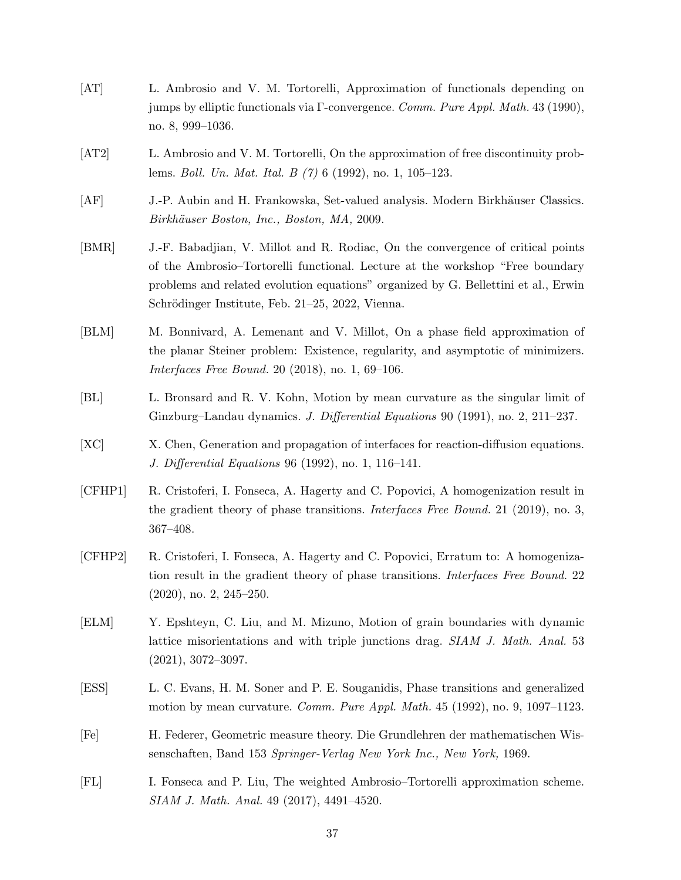- [AT] L. Ambrosio and V. M. Tortorelli, Approximation of functionals depending on jumps by elliptic functionals via Γ-convergence. Comm. Pure Appl. Math. 43 (1990), no. 8, 999–1036.
- [AT2] L. Ambrosio and V. M. Tortorelli, On the approximation of free discontinuity problems. Boll. Un. Mat. Ital. B (7) 6 (1992), no. 1, 105–123.
- [AF] J.-P. Aubin and H. Frankowska, Set-valued analysis. Modern Birkhäuser Classics. Birkhäuser Boston, Inc., Boston, MA, 2009.
- [BMR] J.-F. Babadjian, V. Millot and R. Rodiac, On the convergence of critical points of the Ambrosio–Tortorelli functional. Lecture at the workshop "Free boundary problems and related evolution equations" organized by G. Bellettini et al., Erwin Schrödinger Institute, Feb. 21–25, 2022, Vienna.
- [BLM] M. Bonnivard, A. Lemenant and V. Millot, On a phase field approximation of the planar Steiner problem: Existence, regularity, and asymptotic of minimizers. Interfaces Free Bound. 20 (2018), no. 1, 69–106.
- [BL] L. Bronsard and R. V. Kohn, Motion by mean curvature as the singular limit of Ginzburg–Landau dynamics. J. Differential Equations 90 (1991), no. 2, 211–237.
- [XC] X. Chen, Generation and propagation of interfaces for reaction-diffusion equations. J. Differential Equations 96 (1992), no. 1, 116–141.
- [CFHP1] R. Cristoferi, I. Fonseca, A. Hagerty and C. Popovici, A homogenization result in the gradient theory of phase transitions. Interfaces Free Bound. 21 (2019), no. 3, 367–408.
- [CFHP2] R. Cristoferi, I. Fonseca, A. Hagerty and C. Popovici, Erratum to: A homogenization result in the gradient theory of phase transitions. Interfaces Free Bound. 22 (2020), no. 2, 245–250.
- [ELM] Y. Epshteyn, C. Liu, and M. Mizuno, Motion of grain boundaries with dynamic lattice misorientations and with triple junctions drag. SIAM J. Math. Anal. 53 (2021), 3072–3097.
- [ESS] L. C. Evans, H. M. Soner and P. E. Souganidis, Phase transitions and generalized motion by mean curvature. Comm. Pure Appl. Math. 45 (1992), no. 9, 1097–1123.
- [Fe] H. Federer, Geometric measure theory. Die Grundlehren der mathematischen Wissenschaften, Band 153 Springer-Verlag New York Inc., New York, 1969.
- [FL] I. Fonseca and P. Liu, The weighted Ambrosio–Tortorelli approximation scheme. SIAM J. Math. Anal. 49 (2017), 4491–4520.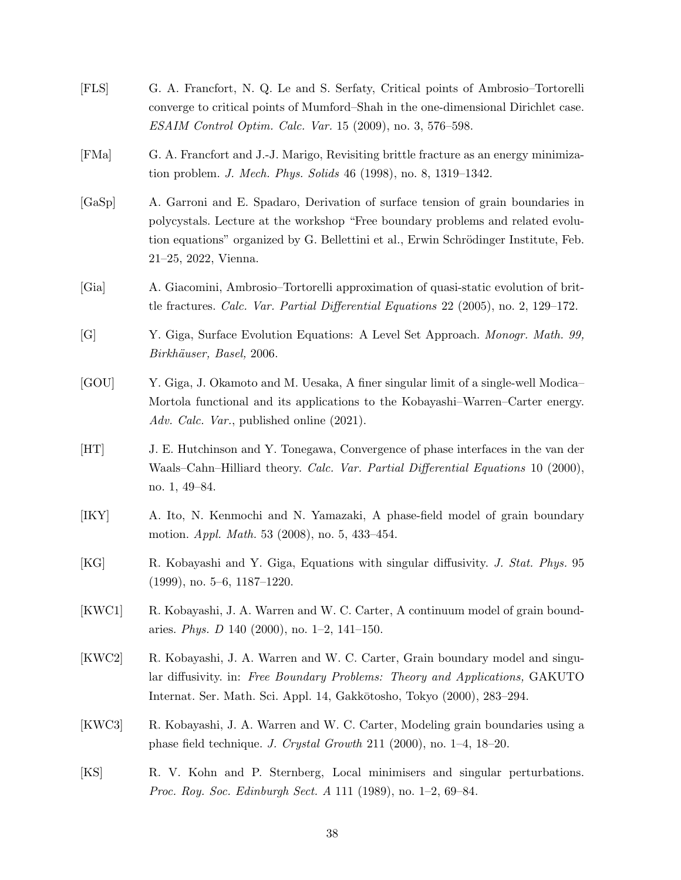| $[{\rm FLS}]$ | G. A. Francfort, N. Q. Le and S. Serfaty, Critical points of Ambrosio–Tortorelli<br>converge to critical points of Mumford–Shah in the one-dimensional Dirichlet case.<br>ESAIM Control Optim. Calc. Var. 15 (2009), no. 3, 576–598.                                                  |
|---------------|---------------------------------------------------------------------------------------------------------------------------------------------------------------------------------------------------------------------------------------------------------------------------------------|
| [FMa]         | G. A. Francfort and J.-J. Marigo, Revisiting brittle fracture as an energy minimiza-<br>tion problem. <i>J. Mech. Phys. Solids</i> 46 (1998), no. 8, 1319–1342.                                                                                                                       |
| [GaSp]        | A. Garroni and E. Spadaro, Derivation of surface tension of grain boundaries in<br>polycystals. Lecture at the workshop "Free boundary problems and related evolu-<br>tion equations" organized by G. Bellettini et al., Erwin Schrödinger Institute, Feb.<br>$21-25$ , 2022, Vienna. |
| [Gia]         | A. Giacomini, Ambrosio–Tortorelli approximation of quasi-static evolution of brit-<br>tle fractures. Calc. Var. Partial Differential Equations 22 (2005), no. 2, 129–172.                                                                                                             |
| [G]           | Y. Giga, Surface Evolution Equations: A Level Set Approach. Monogr. Math. 99,<br>Birkhäuser, Basel, 2006.                                                                                                                                                                             |
| [GOU]         | Y. Giga, J. Okamoto and M. Uesaka, A finer singular limit of a single-well Modica-<br>Mortola functional and its applications to the Kobayashi–Warren–Carter energy.<br>Adv. Calc. Var., published online (2021).                                                                     |
| [HT]          | J. E. Hutchinson and Y. Tonegawa, Convergence of phase interfaces in the van der<br>Waals–Cahn–Hilliard theory. Calc. Var. Partial Differential Equations 10 (2000),<br>no. 1, 49–84.                                                                                                 |
| [IKY]         | A. Ito, N. Kenmochi and N. Yamazaki, A phase-field model of grain boundary<br>motion. <i>Appl. Math.</i> 53 (2008), no. 5, 433-454.                                                                                                                                                   |
| [KG]          | R. Kobayashi and Y. Giga, Equations with singular diffusivity. J. Stat. Phys. 95<br>$(1999)$ , no. 5–6, 1187–1220.                                                                                                                                                                    |
| [KWC1]        | R. Kobayashi, J. A. Warren and W. C. Carter, A continuum model of grain bound-<br>aries. Phys. D 140 (2000), no. 1-2, 141-150.                                                                                                                                                        |
| [KWC2]        | R. Kobayashi, J. A. Warren and W. C. Carter, Grain boundary model and singu-<br>lar diffusivity. in: Free Boundary Problems: Theory and Applications, GAKUTO<br>Internat. Ser. Math. Sci. Appl. 14, Gakkōtosho, Tokyo (2000), 283–294.                                                |
| [KWC3]        | R. Kobayashi, J. A. Warren and W. C. Carter, Modeling grain boundaries using a<br>phase field technique. J. Crystal Growth 211 (2000), no. 1–4, 18–20.                                                                                                                                |
| [KS]          | R. V. Kohn and P. Sternberg, Local minimisers and singular perturbations.<br><i>Proc. Roy. Soc. Edinburgh Sect. A</i> 111 (1989), no. 1–2, 69–84.                                                                                                                                     |
|               |                                                                                                                                                                                                                                                                                       |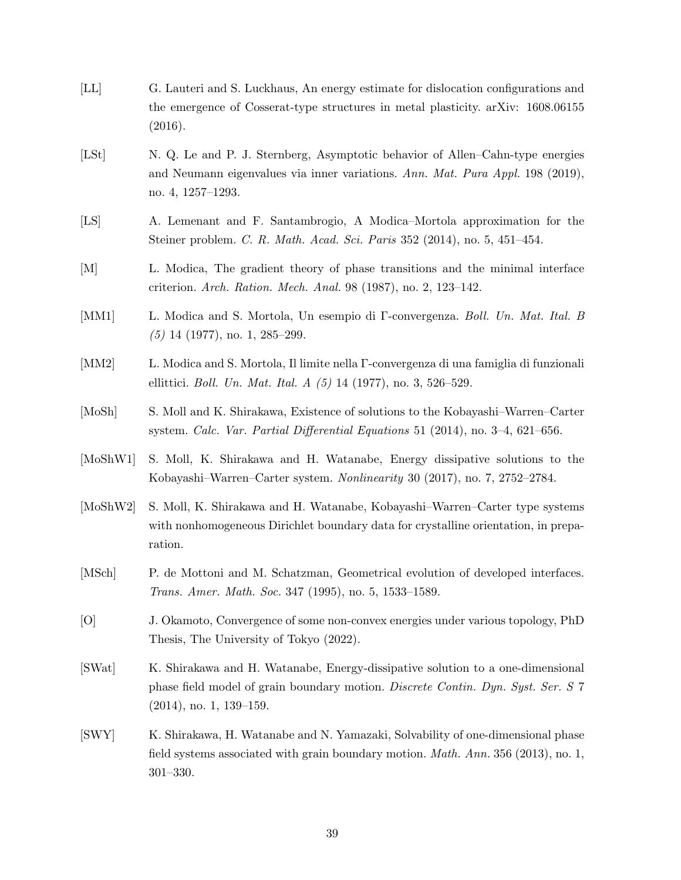[LL] G. Lauteri and S. Luckhaus, An energy estimate for dislocation configurations and the emergence of Cosserat-type structures in metal plasticity. arXiv: 1608.06155 (2016). [LSt] N. Q. Le and P. J. Sternberg, Asymptotic behavior of Allen–Cahn-type energies and Neumann eigenvalues via inner variations. Ann. Mat. Pura Appl. 198 (2019), no. 4, 1257–1293. [LS] A. Lemenant and F. Santambrogio, A Modica–Mortola approximation for the Steiner problem. C. R. Math. Acad. Sci. Paris 352 (2014), no. 5, 451–454. [M] L. Modica, The gradient theory of phase transitions and the minimal interface criterion. Arch. Ration. Mech. Anal. 98 (1987), no. 2, 123–142. [MM1] L. Modica and S. Mortola, Un esempio di Γ-convergenza. Boll. Un. Mat. Ital. B (5) 14 (1977), no. 1, 285–299. [MM2] L. Modica and S. Mortola, Il limite nella Γ-convergenza di una famiglia di funzionali ellittici. Boll. Un. Mat. Ital. A (5) 14 (1977), no. 3, 526–529. [MoSh] S. Moll and K. Shirakawa, Existence of solutions to the Kobayashi–Warren–Carter system. Calc. Var. Partial Differential Equations 51 (2014), no. 3–4, 621–656. [MoShW1] S. Moll, K. Shirakawa and H. Watanabe, Energy dissipative solutions to the Kobayashi–Warren–Carter system. Nonlinearity 30 (2017), no. 7, 2752–2784. [MoShW2] S. Moll, K. Shirakawa and H. Watanabe, Kobayashi–Warren–Carter type systems with nonhomogeneous Dirichlet boundary data for crystalline orientation, in preparation. [MSch] P. de Mottoni and M. Schatzman, Geometrical evolution of developed interfaces. Trans. Amer. Math. Soc. 347 (1995), no. 5, 1533–1589. [O] J. Okamoto, Convergence of some non-convex energies under various topology, PhD Thesis, The University of Tokyo (2022). [SWat] K. Shirakawa and H. Watanabe, Energy-dissipative solution to a one-dimensional phase field model of grain boundary motion. Discrete Contin. Dyn. Syst. Ser. S 7 (2014), no. 1, 139–159. [SWY] K. Shirakawa, H. Watanabe and N. Yamazaki, Solvability of one-dimensional phase field systems associated with grain boundary motion. Math. Ann. 356 (2013), no. 1, 301–330.